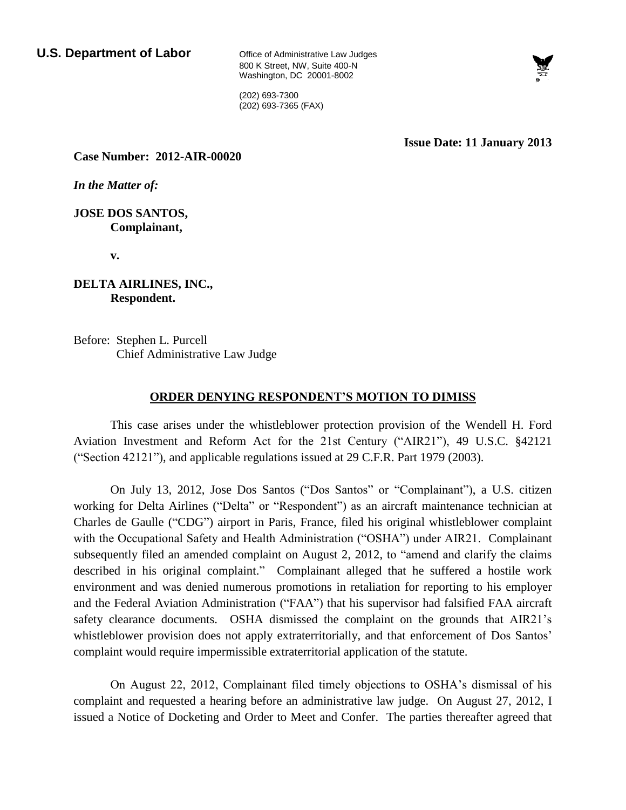800 K Street, NW, Suite 400-N Washington, DC 20001-8002



(202) 693-7300 (202) 693-7365 (FAX)

**Issue Date: 11 January 2013**

**Case Number: 2012-AIR-00020**

*In the Matter of:*

**JOSE DOS SANTOS, Complainant,**

**v.** 

**DELTA AIRLINES, INC., Respondent.**

Before: Stephen L. Purcell Chief Administrative Law Judge

# **ORDER DENYING RESPONDENT'S MOTION TO DIMISS**

This case arises under the whistleblower protection provision of the Wendell H. Ford Aviation Investment and Reform Act for the 21st Century ("AIR21"), 49 U.S.C. §42121 ("Section 42121"), and applicable regulations issued at 29 C.F.R. Part 1979 (2003).

On July 13, 2012, Jose Dos Santos ("Dos Santos" or "Complainant"), a U.S. citizen working for Delta Airlines ("Delta" or "Respondent") as an aircraft maintenance technician at Charles de Gaulle ("CDG") airport in Paris, France, filed his original whistleblower complaint with the Occupational Safety and Health Administration ("OSHA") under AIR21. Complainant subsequently filed an amended complaint on August 2, 2012, to "amend and clarify the claims described in his original complaint." Complainant alleged that he suffered a hostile work environment and was denied numerous promotions in retaliation for reporting to his employer and the Federal Aviation Administration ("FAA") that his supervisor had falsified FAA aircraft safety clearance documents. OSHA dismissed the complaint on the grounds that AIR21's whistleblower provision does not apply extraterritorially, and that enforcement of Dos Santos' complaint would require impermissible extraterritorial application of the statute.

On August 22, 2012, Complainant filed timely objections to OSHA's dismissal of his complaint and requested a hearing before an administrative law judge. On August 27, 2012, I issued a Notice of Docketing and Order to Meet and Confer. The parties thereafter agreed that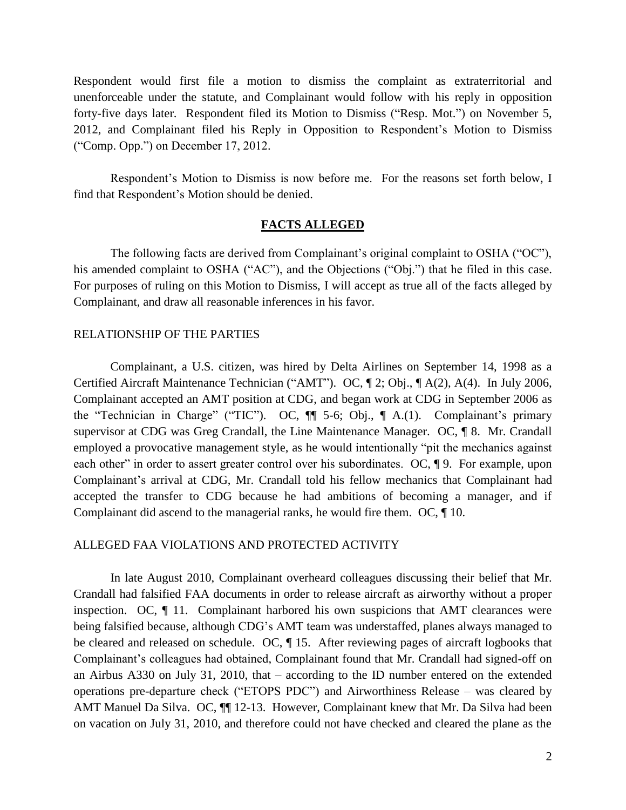Respondent would first file a motion to dismiss the complaint as extraterritorial and unenforceable under the statute, and Complainant would follow with his reply in opposition forty-five days later. Respondent filed its Motion to Dismiss ("Resp. Mot.") on November 5, 2012, and Complainant filed his Reply in Opposition to Respondent's Motion to Dismiss ("Comp. Opp.") on December 17, 2012.

Respondent's Motion to Dismiss is now before me. For the reasons set forth below, I find that Respondent's Motion should be denied.

# **FACTS ALLEGED**

The following facts are derived from Complainant's original complaint to OSHA ("OC"), his amended complaint to OSHA ("AC"), and the Objections ("Obj.") that he filed in this case. For purposes of ruling on this Motion to Dismiss, I will accept as true all of the facts alleged by Complainant, and draw all reasonable inferences in his favor.

### RELATIONSHIP OF THE PARTIES

Complainant, a U.S. citizen, was hired by Delta Airlines on September 14, 1998 as a Certified Aircraft Maintenance Technician ("AMT"). OC, ¶ 2; Obj., ¶ A(2), A(4). In July 2006, Complainant accepted an AMT position at CDG, and began work at CDG in September 2006 as the "Technician in Charge" ("TIC"). OC, ¶¶ 5-6; Obj., ¶ A.(1). Complainant's primary supervisor at CDG was Greg Crandall, the Line Maintenance Manager. OC, ¶ 8. Mr. Crandall employed a provocative management style, as he would intentionally "pit the mechanics against each other" in order to assert greater control over his subordinates. OC,  $\parallel$  9. For example, upon Complainant's arrival at CDG, Mr. Crandall told his fellow mechanics that Complainant had accepted the transfer to CDG because he had ambitions of becoming a manager, and if Complainant did ascend to the managerial ranks, he would fire them. OC, ¶ 10.

# ALLEGED FAA VIOLATIONS AND PROTECTED ACTIVITY

In late August 2010, Complainant overheard colleagues discussing their belief that Mr. Crandall had falsified FAA documents in order to release aircraft as airworthy without a proper inspection. OC, ¶ 11. Complainant harbored his own suspicions that AMT clearances were being falsified because, although CDG's AMT team was understaffed, planes always managed to be cleared and released on schedule. OC, ¶ 15. After reviewing pages of aircraft logbooks that Complainant's colleagues had obtained, Complainant found that Mr. Crandall had signed-off on an Airbus A330 on July 31, 2010, that – according to the ID number entered on the extended operations pre-departure check ("ETOPS PDC") and Airworthiness Release – was cleared by AMT Manuel Da Silva. OC,  $\P$  12-13. However, Complainant knew that Mr. Da Silva had been on vacation on July 31, 2010, and therefore could not have checked and cleared the plane as the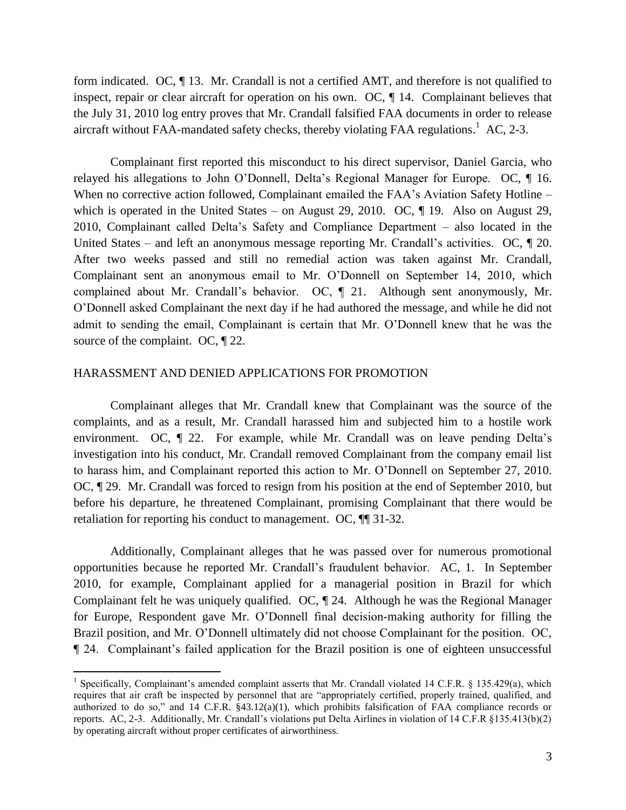form indicated. OC, ¶ 13. Mr. Crandall is not a certified AMT, and therefore is not qualified to inspect, repair or clear aircraft for operation on his own. OC, ¶ 14. Complainant believes that the July 31, 2010 log entry proves that Mr. Crandall falsified FAA documents in order to release aircraft without FAA-mandated safety checks, thereby violating FAA regulations.<sup>1</sup> AC, 2-3.

Complainant first reported this misconduct to his direct supervisor, Daniel Garcia, who relayed his allegations to John O'Donnell, Delta's Regional Manager for Europe. OC, ¶ 16. When no corrective action followed, Complainant emailed the FAA's Aviation Safety Hotline – which is operated in the United States – on August 29, 2010. OC,  $\P$  19. Also on August 29, 2010, Complainant called Delta's Safety and Compliance Department – also located in the United States – and left an anonymous message reporting Mr. Crandall's activities. OC,  $\P$  20. After two weeks passed and still no remedial action was taken against Mr. Crandall, Complainant sent an anonymous email to Mr. O'Donnell on September 14, 2010, which complained about Mr. Crandall's behavior. OC, ¶ 21. Although sent anonymously, Mr. O'Donnell asked Complainant the next day if he had authored the message, and while he did not admit to sending the email, Complainant is certain that Mr. O'Donnell knew that he was the source of the complaint. OC,  $\P$  22.

### HARASSMENT AND DENIED APPLICATIONS FOR PROMOTION

 $\overline{a}$ 

Complainant alleges that Mr. Crandall knew that Complainant was the source of the complaints, and as a result, Mr. Crandall harassed him and subjected him to a hostile work environment. OC, ¶ 22. For example, while Mr. Crandall was on leave pending Delta's investigation into his conduct, Mr. Crandall removed Complainant from the company email list to harass him, and Complainant reported this action to Mr. O'Donnell on September 27, 2010. OC, ¶ 29. Mr. Crandall was forced to resign from his position at the end of September 2010, but before his departure, he threatened Complainant, promising Complainant that there would be retaliation for reporting his conduct to management. OC, ¶¶ 31-32.

Additionally, Complainant alleges that he was passed over for numerous promotional opportunities because he reported Mr. Crandall's fraudulent behavior. AC, 1. In September 2010, for example, Complainant applied for a managerial position in Brazil for which Complainant felt he was uniquely qualified. OC, ¶ 24. Although he was the Regional Manager for Europe, Respondent gave Mr. O'Donnell final decision-making authority for filling the Brazil position, and Mr. O'Donnell ultimately did not choose Complainant for the position. OC, ¶ 24. Complainant's failed application for the Brazil position is one of eighteen unsuccessful

<sup>&</sup>lt;sup>1</sup> Specifically, Complainant's amended complaint asserts that Mr. Crandall violated 14 C.F.R. § 135.429(a), which requires that air craft be inspected by personnel that are "appropriately certified, properly trained, qualified, and authorized to do so," and 14 C.F.R. §43.12(a)(1), which prohibits falsification of FAA compliance records or reports. AC, 2-3. Additionally, Mr. Crandall's violations put Delta Airlines in violation of 14 C.F.R §135.413(b)(2) by operating aircraft without proper certificates of airworthiness.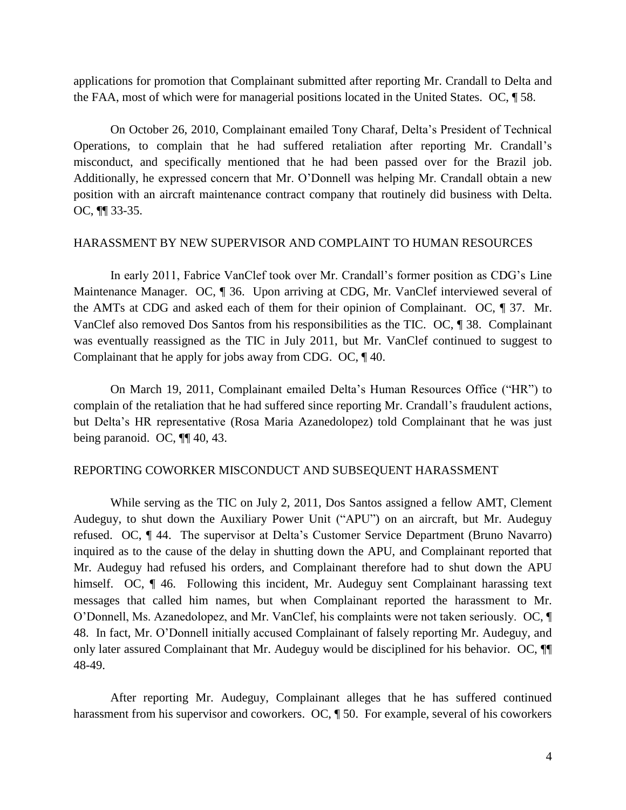applications for promotion that Complainant submitted after reporting Mr. Crandall to Delta and the FAA, most of which were for managerial positions located in the United States. OC, ¶ 58.

On October 26, 2010, Complainant emailed Tony Charaf, Delta's President of Technical Operations, to complain that he had suffered retaliation after reporting Mr. Crandall's misconduct, and specifically mentioned that he had been passed over for the Brazil job. Additionally, he expressed concern that Mr. O'Donnell was helping Mr. Crandall obtain a new position with an aircraft maintenance contract company that routinely did business with Delta. OC, ¶¶ 33-35.

### HARASSMENT BY NEW SUPERVISOR AND COMPLAINT TO HUMAN RESOURCES

In early 2011, Fabrice VanClef took over Mr. Crandall's former position as CDG's Line Maintenance Manager. OC, 1 36. Upon arriving at CDG, Mr. VanClef interviewed several of the AMTs at CDG and asked each of them for their opinion of Complainant. OC, ¶ 37. Mr. VanClef also removed Dos Santos from his responsibilities as the TIC. OC, ¶ 38. Complainant was eventually reassigned as the TIC in July 2011, but Mr. VanClef continued to suggest to Complainant that he apply for jobs away from CDG. OC, ¶ 40.

On March 19, 2011, Complainant emailed Delta's Human Resources Office ("HR") to complain of the retaliation that he had suffered since reporting Mr. Crandall's fraudulent actions, but Delta's HR representative (Rosa Maria Azanedolopez) told Complainant that he was just being paranoid. OC, ¶¶ 40, 43.

# REPORTING COWORKER MISCONDUCT AND SUBSEQUENT HARASSMENT

While serving as the TIC on July 2, 2011, Dos Santos assigned a fellow AMT, Clement Audeguy, to shut down the Auxiliary Power Unit ("APU") on an aircraft, but Mr. Audeguy refused. OC, ¶ 44. The supervisor at Delta's Customer Service Department (Bruno Navarro) inquired as to the cause of the delay in shutting down the APU, and Complainant reported that Mr. Audeguy had refused his orders, and Complainant therefore had to shut down the APU himself. OC,  $\P$  46. Following this incident, Mr. Audeguy sent Complainant harassing text messages that called him names, but when Complainant reported the harassment to Mr. O'Donnell, Ms. Azanedolopez, and Mr. VanClef, his complaints were not taken seriously. OC, ¶ 48. In fact, Mr. O'Donnell initially accused Complainant of falsely reporting Mr. Audeguy, and only later assured Complainant that Mr. Audeguy would be disciplined for his behavior. OC, ¶¶ 48-49.

After reporting Mr. Audeguy, Complainant alleges that he has suffered continued harassment from his supervisor and coworkers. OC,  $\parallel$  50. For example, several of his coworkers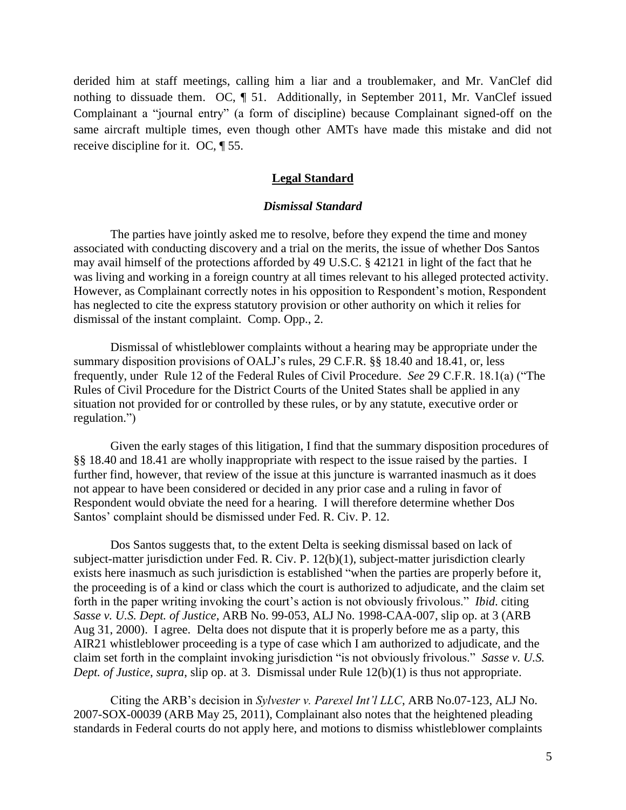derided him at staff meetings, calling him a liar and a troublemaker, and Mr. VanClef did nothing to dissuade them. OC, ¶ 51. Additionally, in September 2011, Mr. VanClef issued Complainant a "journal entry" (a form of discipline) because Complainant signed-off on the same aircraft multiple times, even though other AMTs have made this mistake and did not receive discipline for it. OC, ¶ 55.

### **Legal Standard**

### *Dismissal Standard*

The parties have jointly asked me to resolve, before they expend the time and money associated with conducting discovery and a trial on the merits, the issue of whether Dos Santos may avail himself of the protections afforded by 49 U.S.C. § 42121 in light of the fact that he was living and working in a foreign country at all times relevant to his alleged protected activity. However, as Complainant correctly notes in his opposition to Respondent's motion, Respondent has neglected to cite the express statutory provision or other authority on which it relies for dismissal of the instant complaint. Comp. Opp., 2.

Dismissal of whistleblower complaints without a hearing may be appropriate under the summary disposition provisions of OALJ's rules, 29 C.F.R. §§ 18.40 and 18.41, or, less frequently, under Rule 12 of the Federal Rules of Civil Procedure. *See* 29 C.F.R. 18.1(a) ("The Rules of Civil Procedure for the District Courts of the United States shall be applied in any situation not provided for or controlled by these rules, or by any statute, executive order or regulation.")

Given the early stages of this litigation, I find that the summary disposition procedures of §§ 18.40 and 18.41 are wholly inappropriate with respect to the issue raised by the parties. I further find, however, that review of the issue at this juncture is warranted inasmuch as it does not appear to have been considered or decided in any prior case and a ruling in favor of Respondent would obviate the need for a hearing. I will therefore determine whether Dos Santos' complaint should be dismissed under Fed. R. Civ. P. 12.

Dos Santos suggests that, to the extent Delta is seeking dismissal based on lack of subject-matter jurisdiction under Fed. R. Civ. P. 12(b)(1), subject-matter jurisdiction clearly exists here inasmuch as such jurisdiction is established "when the parties are properly before it, the proceeding is of a kind or class which the court is authorized to adjudicate, and the claim set forth in the paper writing invoking the court's action is not obviously frivolous." *Ibid*. citing *Sasse v. U.S. Dept. of Justice*, ARB No. 99-053, ALJ No. 1998-CAA-007, slip op. at 3 (ARB Aug 31, 2000). I agree. Delta does not dispute that it is properly before me as a party, this AIR21 whistleblower proceeding is a type of case which I am authorized to adjudicate, and the claim set forth in the complaint invoking jurisdiction "is not obviously frivolous." *Sasse v. U.S. Dept. of Justice*, *supra*, slip op. at 3. Dismissal under Rule 12(b)(1) is thus not appropriate.

Citing the ARB's decision in *Sylvester v. Parexel Int'l LLC*, ARB No.07-123, ALJ No. 2007-SOX-00039 (ARB May 25, 2011), Complainant also notes that the heightened pleading standards in Federal courts do not apply here, and motions to dismiss whistleblower complaints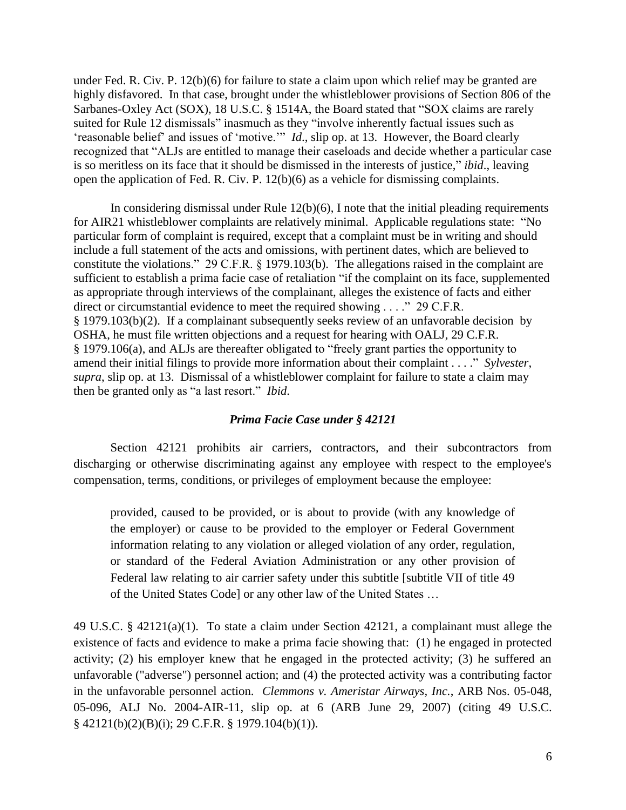under Fed. R. Civ. P. 12(b)(6) for failure to state a claim upon which relief may be granted are highly disfavored. In that case, brought under the whistleblower provisions of Section 806 of the Sarbanes-Oxley Act (SOX), 18 U.S.C. § 1514A, the Board stated that "SOX claims are rarely suited for Rule 12 dismissals" inasmuch as they "involve inherently factual issues such as 'reasonable belief' and issues of 'motive.'" *Id*., slip op. at 13. However, the Board clearly recognized that "ALJs are entitled to manage their caseloads and decide whether a particular case is so meritless on its face that it should be dismissed in the interests of justice," *ibid*., leaving open the application of Fed. R. Civ. P. 12(b)(6) as a vehicle for dismissing complaints.

In considering dismissal under Rule  $12(b)(6)$ , I note that the initial pleading requirements for AIR21 whistleblower complaints are relatively minimal. Applicable regulations state: "No particular form of complaint is required, except that a complaint must be in writing and should include a full statement of the acts and omissions, with pertinent dates, which are believed to constitute the violations." 29 C.F.R. § 1979.103(b). The allegations raised in the complaint are sufficient to establish a prima facie case of retaliation "if the complaint on its face, supplemented as appropriate through interviews of the complainant, alleges the existence of facts and either direct or circumstantial evidence to meet the required showing . . . . " 29 C.F.R. § 1979.103(b)(2). If a complainant subsequently seeks review of an unfavorable decision by OSHA, he must file written objections and a request for hearing with OALJ, 29 C.F.R. § 1979.106(a), and ALJs are thereafter obligated to "freely grant parties the opportunity to amend their initial filings to provide more information about their complaint . . . ." *Sylvester*, *supra*, slip op. at 13. Dismissal of a whistleblower complaint for failure to state a claim may then be granted only as "a last resort." *Ibid*.

## *Prima Facie Case under § 42121*

Section 42121 prohibits air carriers, contractors, and their subcontractors from discharging or otherwise discriminating against any employee with respect to the employee's compensation, terms, conditions, or privileges of employment because the employee:

provided, caused to be provided, or is about to provide (with any knowledge of the employer) or cause to be provided to the employer or Federal Government information relating to any violation or alleged violation of any order, regulation, or standard of the Federal Aviation Administration or any other provision of Federal law relating to air carrier safety under this subtitle [subtitle VII of title 49 of the United States Code] or any other law of the United States …

49 U.S.C. § 42121(a)(1). To state a claim under Section 42121, a complainant must allege the existence of facts and evidence to make a prima facie showing that: (1) he engaged in protected activity; (2) his employer knew that he engaged in the protected activity; (3) he suffered an unfavorable ("adverse") personnel action; and (4) the protected activity was a contributing factor in the unfavorable personnel action. *Clemmons v. Ameristar Airways, Inc.*, ARB Nos. 05-048, 05-096, ALJ No. 2004-AIR-11, slip op. at 6 (ARB June 29, 2007) (citing 49 U.S.C. § 42121(b)(2)(B)(i); 29 C.F.R. § 1979.104(b)(1)).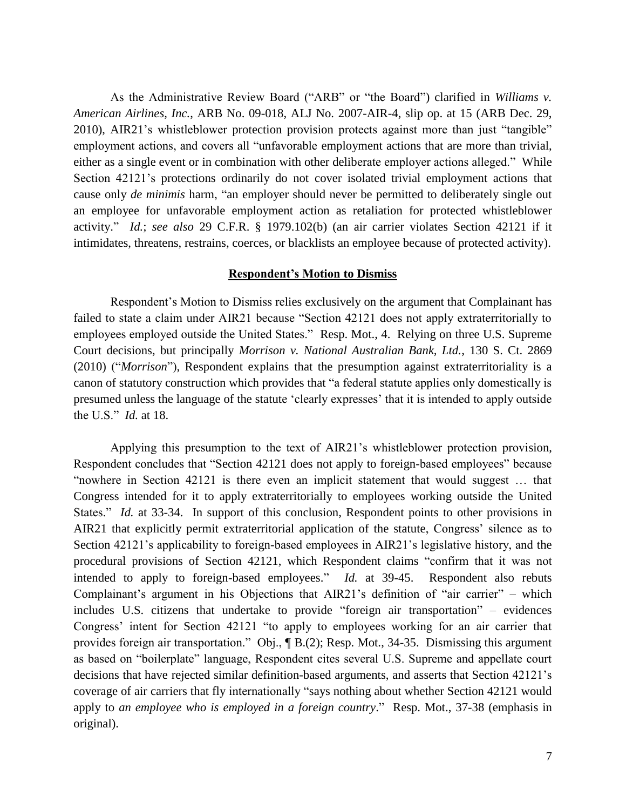As the Administrative Review Board ("ARB" or "the Board") clarified in *Williams v. American Airlines, Inc.*, ARB No. 09-018, ALJ No. 2007-AIR-4, slip op. at 15 (ARB Dec. 29, 2010), AIR21's whistleblower protection provision protects against more than just "tangible" employment actions, and covers all "unfavorable employment actions that are more than trivial, either as a single event or in combination with other deliberate employer actions alleged." While Section 42121's protections ordinarily do not cover isolated trivial employment actions that cause only *de minimis* harm, "an employer should never be permitted to deliberately single out an employee for unfavorable employment action as retaliation for protected whistleblower activity." *Id.*; *see also* 29 C.F.R. § 1979.102(b) (an air carrier violates Section 42121 if it intimidates, threatens, restrains, coerces, or blacklists an employee because of protected activity).

### **Respondent's Motion to Dismiss**

Respondent's Motion to Dismiss relies exclusively on the argument that Complainant has failed to state a claim under AIR21 because "Section 42121 does not apply extraterritorially to employees employed outside the United States." Resp. Mot., 4. Relying on three U.S. Supreme Court decisions, but principally *Morrison v. National Australian Bank, Ltd.*, 130 S. Ct. 2869 (2010) ("*Morrison*"), Respondent explains that the presumption against extraterritoriality is a canon of statutory construction which provides that "a federal statute applies only domestically is presumed unless the language of the statute 'clearly expresses' that it is intended to apply outside the U.S." *Id.* at 18.

Applying this presumption to the text of AIR21's whistleblower protection provision, Respondent concludes that "Section 42121 does not apply to foreign-based employees" because "nowhere in Section 42121 is there even an implicit statement that would suggest … that Congress intended for it to apply extraterritorially to employees working outside the United States." *Id.* at 33-34. In support of this conclusion, Respondent points to other provisions in AIR21 that explicitly permit extraterritorial application of the statute, Congress' silence as to Section 42121's applicability to foreign-based employees in AIR21's legislative history, and the procedural provisions of Section 42121, which Respondent claims "confirm that it was not intended to apply to foreign-based employees." *Id.* at 39-45. Respondent also rebuts Complainant's argument in his Objections that AIR21's definition of "air carrier" – which includes U.S. citizens that undertake to provide "foreign air transportation" – evidences Congress' intent for Section 42121 "to apply to employees working for an air carrier that provides foreign air transportation." Obj., ¶ B.(2); Resp. Mot., 34-35. Dismissing this argument as based on "boilerplate" language, Respondent cites several U.S. Supreme and appellate court decisions that have rejected similar definition-based arguments, and asserts that Section 42121's coverage of air carriers that fly internationally "says nothing about whether Section 42121 would apply to *an employee who is employed in a foreign country*." Resp. Mot., 37-38 (emphasis in original).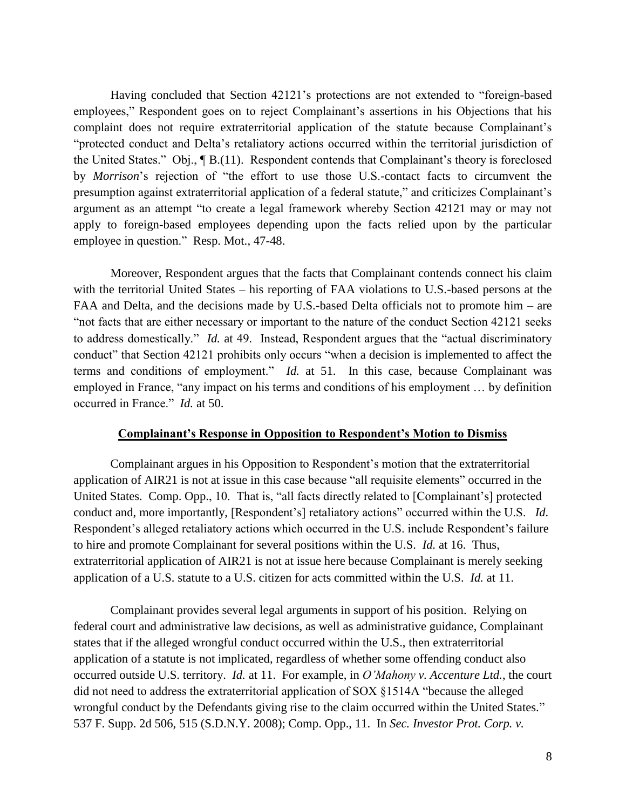Having concluded that Section 42121's protections are not extended to "foreign-based employees," Respondent goes on to reject Complainant's assertions in his Objections that his complaint does not require extraterritorial application of the statute because Complainant's "protected conduct and Delta's retaliatory actions occurred within the territorial jurisdiction of the United States." Obj., ¶ B.(11). Respondent contends that Complainant's theory is foreclosed by *Morrison*'s rejection of "the effort to use those U.S.-contact facts to circumvent the presumption against extraterritorial application of a federal statute," and criticizes Complainant's argument as an attempt "to create a legal framework whereby Section 42121 may or may not apply to foreign-based employees depending upon the facts relied upon by the particular employee in question." Resp. Mot., 47-48.

Moreover, Respondent argues that the facts that Complainant contends connect his claim with the territorial United States – his reporting of FAA violations to U.S.-based persons at the FAA and Delta, and the decisions made by U.S.-based Delta officials not to promote him – are "not facts that are either necessary or important to the nature of the conduct Section 42121 seeks to address domestically." *Id.* at 49. Instead, Respondent argues that the "actual discriminatory conduct" that Section 42121 prohibits only occurs "when a decision is implemented to affect the terms and conditions of employment." *Id.* at 51. In this case, because Complainant was employed in France, "any impact on his terms and conditions of his employment … by definition occurred in France." *Id.* at 50.

### **Complainant's Response in Opposition to Respondent's Motion to Dismiss**

Complainant argues in his Opposition to Respondent's motion that the extraterritorial application of AIR21 is not at issue in this case because "all requisite elements" occurred in the United States. Comp. Opp., 10. That is, "all facts directly related to [Complainant's] protected conduct and, more importantly, [Respondent's] retaliatory actions" occurred within the U.S. *Id*. Respondent's alleged retaliatory actions which occurred in the U.S. include Respondent's failure to hire and promote Complainant for several positions within the U.S. *Id.* at 16. Thus, extraterritorial application of AIR21 is not at issue here because Complainant is merely seeking application of a U.S. statute to a U.S. citizen for acts committed within the U.S. *Id.* at 11.

Complainant provides several legal arguments in support of his position. Relying on federal court and administrative law decisions, as well as administrative guidance, Complainant states that if the alleged wrongful conduct occurred within the U.S., then extraterritorial application of a statute is not implicated, regardless of whether some offending conduct also occurred outside U.S. territory. *Id.* at 11. For example, in *O'Mahony v. Accenture Ltd.*, the court did not need to address the extraterritorial application of SOX §1514A "because the alleged wrongful conduct by the Defendants giving rise to the claim occurred within the United States." 537 F. Supp. 2d 506, 515 (S.D.N.Y. 2008); Comp. Opp., 11. In *Sec. Investor Prot. Corp. v.*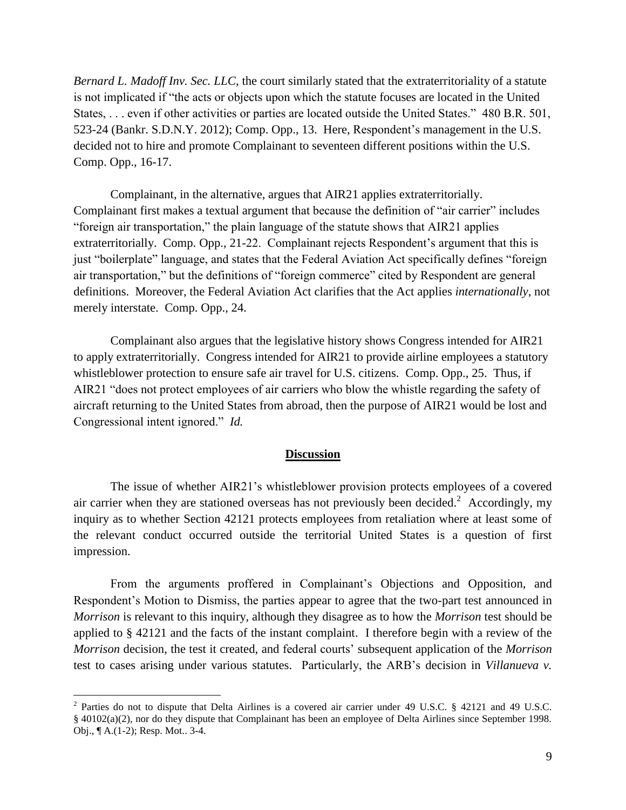*Bernard L. Madoff Inv. Sec. LLC*, the court similarly stated that the extraterritoriality of a statute is not implicated if "the acts or objects upon which the statute focuses are located in the United States, . . . even if other activities or parties are located outside the United States." 480 B.R. 501, 523-24 (Bankr. S.D.N.Y. 2012); Comp. Opp., 13. Here, Respondent's management in the U.S. decided not to hire and promote Complainant to seventeen different positions within the U.S. Comp. Opp., 16-17.

Complainant, in the alternative, argues that AIR21 applies extraterritorially. Complainant first makes a textual argument that because the definition of "air carrier" includes "foreign air transportation," the plain language of the statute shows that AIR21 applies extraterritorially. Comp. Opp., 21-22. Complainant rejects Respondent's argument that this is just "boilerplate" language, and states that the Federal Aviation Act specifically defines "foreign air transportation," but the definitions of "foreign commerce" cited by Respondent are general definitions. Moreover, the Federal Aviation Act clarifies that the Act applies *internationally*, not merely interstate. Comp. Opp., 24.

Complainant also argues that the legislative history shows Congress intended for AIR21 to apply extraterritorially. Congress intended for AIR21 to provide airline employees a statutory whistleblower protection to ensure safe air travel for U.S. citizens. Comp. Opp., 25. Thus, if AIR21 "does not protect employees of air carriers who blow the whistle regarding the safety of aircraft returning to the United States from abroad, then the purpose of AIR21 would be lost and Congressional intent ignored." *Id.*

### **Discussion**

The issue of whether AIR21's whistleblower provision protects employees of a covered air carrier when they are stationed overseas has not previously been decided.<sup>2</sup> Accordingly, my inquiry as to whether Section 42121 protects employees from retaliation where at least some of the relevant conduct occurred outside the territorial United States is a question of first impression.

From the arguments proffered in Complainant's Objections and Opposition, and Respondent's Motion to Dismiss, the parties appear to agree that the two-part test announced in *Morrison* is relevant to this inquiry, although they disagree as to how the *Morrison* test should be applied to § 42121 and the facts of the instant complaint. I therefore begin with a review of the *Morrison* decision, the test it created, and federal courts' subsequent application of the *Morrison*  test to cases arising under various statutes. Particularly, the ARB's decision in *Villanueva v.* 

<sup>&</sup>lt;sup>2</sup> Parties do not to dispute that Delta Airlines is a covered air carrier under 49 U.S.C. § 42121 and 49 U.S.C. § 40102(a)(2), nor do they dispute that Complainant has been an employee of Delta Airlines since September 1998. Obj., ¶ A.(1-2); Resp. Mot.. 3-4.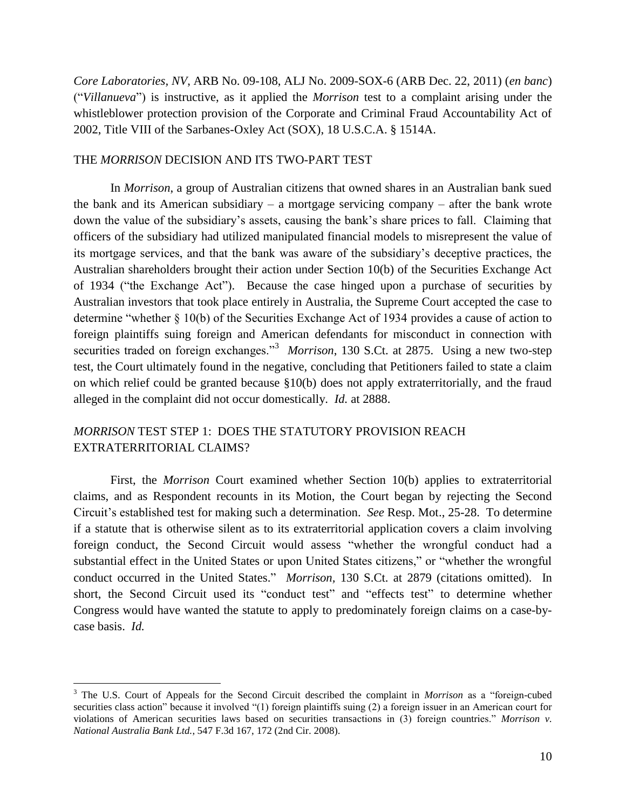*Core Laboratories, NV*, ARB No. 09-108, ALJ No. 2009-SOX-6 (ARB Dec. 22, 2011) (*en banc*) ("*Villanueva*") is instructive, as it applied the *Morrison* test to a complaint arising under the whistleblower protection provision of the Corporate and Criminal Fraud Accountability Act of 2002, Title VIII of the Sarbanes-Oxley Act (SOX), 18 U.S.C.A. § 1514A.

## THE *MORRISON* DECISION AND ITS TWO-PART TEST

In *Morrison*, a group of Australian citizens that owned shares in an Australian bank sued the bank and its American subsidiary – a mortgage servicing company – after the bank wrote down the value of the subsidiary's assets, causing the bank's share prices to fall. Claiming that officers of the subsidiary had utilized manipulated financial models to misrepresent the value of its mortgage services, and that the bank was aware of the subsidiary's deceptive practices, the Australian shareholders brought their action under Section 10(b) of the Securities Exchange Act of 1934 ("the Exchange Act"). Because the case hinged upon a purchase of securities by Australian investors that took place entirely in Australia, the Supreme Court accepted the case to determine "whether § 10(b) of the Securities Exchange Act of 1934 provides a cause of action to foreign plaintiffs suing foreign and American defendants for misconduct in connection with securities traded on foreign exchanges."<sup>3</sup> Morrison, 130 S.Ct. at 2875. Using a new two-step test, the Court ultimately found in the negative, concluding that Petitioners failed to state a claim on which relief could be granted because §10(b) does not apply extraterritorially, and the fraud alleged in the complaint did not occur domestically. *Id.* at 2888.

# *MORRISON* TEST STEP 1: DOES THE STATUTORY PROVISION REACH EXTRATERRITORIAL CLAIMS?

First, the *Morrison* Court examined whether Section 10(b) applies to extraterritorial claims, and as Respondent recounts in its Motion, the Court began by rejecting the Second Circuit's established test for making such a determination. *See* Resp. Mot., 25-28. To determine if a statute that is otherwise silent as to its extraterritorial application covers a claim involving foreign conduct, the Second Circuit would assess "whether the wrongful conduct had a substantial effect in the United States or upon United States citizens," or "whether the wrongful conduct occurred in the United States." *Morrison,* 130 S.Ct. at 2879 (citations omitted). In short, the Second Circuit used its "conduct test" and "effects test" to determine whether Congress would have wanted the statute to apply to predominately foreign claims on a case-bycase basis. *Id.*

<sup>3</sup> The U.S. Court of Appeals for the Second Circuit described the complaint in *Morrison* as a "foreign-cubed securities class action" because it involved "(1) foreign plaintiffs suing (2) a foreign issuer in an American court for violations of American securities laws based on securities transactions in (3) foreign countries." *Morrison v. National Australia Bank Ltd.*, 547 F.3d 167, 172 (2nd Cir. 2008).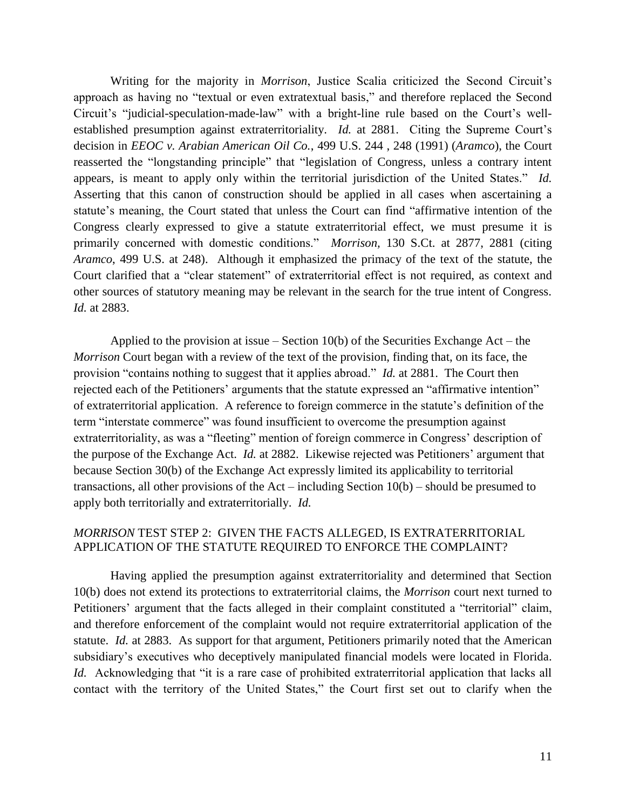Writing for the majority in *Morrison*, Justice Scalia criticized the Second Circuit's approach as having no "textual or even extratextual basis," and therefore replaced the Second Circuit's "judicial-speculation-made-law" with a bright-line rule based on the Court's wellestablished presumption against extraterritoriality. *Id.* at 2881. Citing the Supreme Court's decision in *EEOC v. Arabian American Oil Co.*, 499 U.S. 244 , 248 (1991) (*Aramco*), the Court reasserted the "longstanding principle" that "legislation of Congress, unless a contrary intent appears, is meant to apply only within the territorial jurisdiction of the United States." *Id.* Asserting that this canon of construction should be applied in all cases when ascertaining a statute's meaning, the Court stated that unless the Court can find "affirmative intention of the Congress clearly expressed to give a statute extraterritorial effect, we must presume it is primarily concerned with domestic conditions." *Morrison,* 130 S.Ct. at 2877, 2881 (citing *Aramco*, 499 U.S. at 248). Although it emphasized the primacy of the text of the statute, the Court clarified that a "clear statement" of extraterritorial effect is not required, as context and other sources of statutory meaning may be relevant in the search for the true intent of Congress. *Id.* at 2883.

Applied to the provision at issue – Section  $10(b)$  of the Securities Exchange Act – the *Morrison* Court began with a review of the text of the provision, finding that, on its face, the provision "contains nothing to suggest that it applies abroad." *Id.* at 2881. The Court then rejected each of the Petitioners' arguments that the statute expressed an "affirmative intention" of extraterritorial application. A reference to foreign commerce in the statute's definition of the term "interstate commerce" was found insufficient to overcome the presumption against extraterritoriality, as was a "fleeting" mention of foreign commerce in Congress' description of the purpose of the Exchange Act. *Id.* at 2882. Likewise rejected was Petitioners' argument that because Section 30(b) of the Exchange Act expressly limited its applicability to territorial transactions, all other provisions of the Act – including Section 10(b) – should be presumed to apply both territorially and extraterritorially. *Id.*

# *MORRISON* TEST STEP 2: GIVEN THE FACTS ALLEGED, IS EXTRATERRITORIAL APPLICATION OF THE STATUTE REQUIRED TO ENFORCE THE COMPLAINT?

Having applied the presumption against extraterritoriality and determined that Section 10(b) does not extend its protections to extraterritorial claims, the *Morrison* court next turned to Petitioners' argument that the facts alleged in their complaint constituted a "territorial" claim, and therefore enforcement of the complaint would not require extraterritorial application of the statute. *Id.* at 2883. As support for that argument, Petitioners primarily noted that the American subsidiary's executives who deceptively manipulated financial models were located in Florida. *Id.* Acknowledging that "it is a rare case of prohibited extraterritorial application that lacks all contact with the territory of the United States," the Court first set out to clarify when the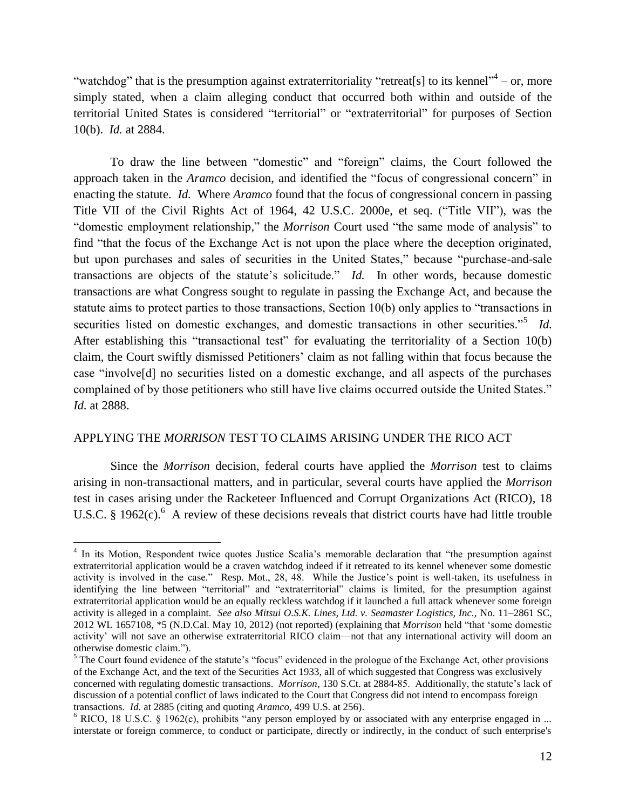"watchdog" that is the presumption against extraterritoriality "retreat[s] to its kennel"  $-$  or, more simply stated, when a claim alleging conduct that occurred both within and outside of the territorial United States is considered "territorial" or "extraterritorial" for purposes of Section 10(b). *Id.* at 2884.

To draw the line between "domestic" and "foreign" claims, the Court followed the approach taken in the *Aramco* decision, and identified the "focus of congressional concern" in enacting the statute. *Id.* Where *Aramco* found that the focus of congressional concern in passing Title VII of the Civil Rights Act of 1964, 42 U.S.C. 2000e, et seq. ("Title VII"), was the "domestic employment relationship," the *Morrison* Court used "the same mode of analysis" to find "that the focus of the Exchange Act is not upon the place where the deception originated, but upon purchases and sales of securities in the United States," because "purchase-and-sale transactions are objects of the statute's solicitude." *Id.* In other words, because domestic transactions are what Congress sought to regulate in passing the Exchange Act, and because the statute aims to protect parties to those transactions, Section 10(b) only applies to "transactions in securities listed on domestic exchanges, and domestic transactions in other securities.<sup>55</sup> *Id.* After establishing this "transactional test" for evaluating the territoriality of a Section 10(b) claim, the Court swiftly dismissed Petitioners' claim as not falling within that focus because the case "involve[d] no securities listed on a domestic exchange, and all aspects of the purchases complained of by those petitioners who still have live claims occurred outside the United States." *Id.* at 2888.

## APPLYING THE *MORRISON* TEST TO CLAIMS ARISING UNDER THE RICO ACT

 $\overline{a}$ 

Since the *Morrison* decision, federal courts have applied the *Morrison* test to claims arising in non-transactional matters, and in particular, several courts have applied the *Morrison*  test in cases arising under the Racketeer Influenced and Corrupt Organizations Act (RICO), 18 U.S.C. § 1962 $(c)$ . A review of these decisions reveals that district courts have had little trouble

<sup>&</sup>lt;sup>4</sup> In its Motion, Respondent twice quotes Justice Scalia's memorable declaration that "the presumption against extraterritorial application would be a craven watchdog indeed if it retreated to its kennel whenever some domestic activity is involved in the case." Resp. Mot., 28, 48. While the Justice's point is well-taken, its usefulness in identifying the line between "territorial" and "extraterritorial" claims is limited, for the presumption against extraterritorial application would be an equally reckless watchdog if it launched a full attack whenever some foreign activity is alleged in a complaint. *See also Mitsui O.S.K. Lines, Ltd. v. Seamaster Logistics, Inc.,* No. 11–2861 SC, 2012 WL 1657108, \*5 (N.D.Cal. May 10, 2012) (not reported) (explaining that *Morrison* held "that 'some domestic activity' will not save an otherwise extraterritorial RICO claim—not that any international activity will doom an otherwise domestic claim.").

 $<sup>5</sup>$  The Court found evidence of the statute's "focus" evidenced in the prologue of the Exchange Act, other provisions</sup> of the Exchange Act, and the text of the Securities Act 1933, all of which suggested that Congress was exclusively concerned with regulating domestic transactions. *Morrison*, 130 S.Ct. at 2884-85. Additionally, the statute's lack of discussion of a potential conflict of laws indicated to the Court that Congress did not intend to encompass foreign transactions. *Id.* at 2885 (citing and quoting *Aramco*, 499 U.S. at 256).

 $6$  RICO, 18 U.S.C. § 1962(c), prohibits "any person employed by or associated with any enterprise engaged in ... interstate or foreign commerce, to conduct or participate, directly or indirectly, in the conduct of such enterprise's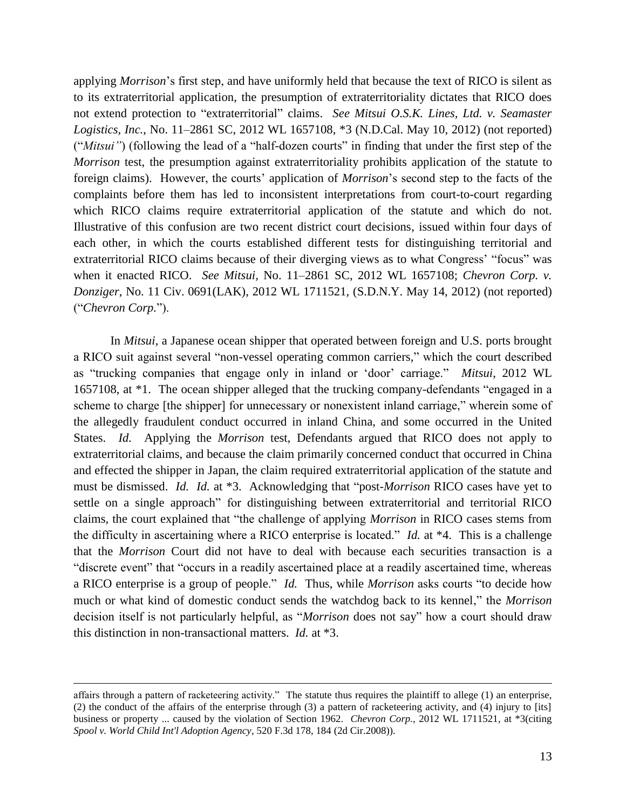applying *Morrison*'s first step, and have uniformly held that because the text of RICO is silent as to its extraterritorial application, the presumption of extraterritoriality dictates that RICO does not extend protection to "extraterritorial" claims. *See Mitsui O.S.K. Lines, Ltd. v. Seamaster Logistics, Inc.*, No. 11–2861 SC, 2012 WL 1657108, \*3 (N.D.Cal. May 10, 2012) (not reported) ("*Mitsui"*) (following the lead of a "half-dozen courts" in finding that under the first step of the *Morrison* test, the presumption against extraterritoriality prohibits application of the statute to foreign claims). However, the courts' application of *Morrison*'s second step to the facts of the complaints before them has led to inconsistent interpretations from court-to-court regarding which RICO claims require extraterritorial application of the statute and which do not. Illustrative of this confusion are two recent district court decisions, issued within four days of each other, in which the courts established different tests for distinguishing territorial and extraterritorial RICO claims because of their diverging views as to what Congress' "focus" was when it enacted RICO. *See Mitsui,* No. 11–2861 SC, 2012 WL 1657108; *Chevron Corp. v. Donziger*, No. 11 Civ. 0691(LAK), 2012 WL 1711521, (S.D.N.Y. May 14, 2012) (not reported) ("*Chevron Corp.*").

In *Mitsui*, a Japanese ocean shipper that operated between foreign and U.S. ports brought a RICO suit against several "non-vessel operating common carriers," which the court described as "trucking companies that engage only in inland or 'door' carriage." *Mitsui*, 2012 WL 1657108, at \*1. The ocean shipper alleged that the trucking company-defendants "engaged in a scheme to charge [the shipper] for unnecessary or nonexistent inland carriage," wherein some of the allegedly fraudulent conduct occurred in inland China, and some occurred in the United States. *Id.* Applying the *Morrison* test, Defendants argued that RICO does not apply to extraterritorial claims, and because the claim primarily concerned conduct that occurred in China and effected the shipper in Japan, the claim required extraterritorial application of the statute and must be dismissed. *Id. Id.* at \*3. Acknowledging that "post-*Morrison* RICO cases have yet to settle on a single approach" for distinguishing between extraterritorial and territorial RICO claims, the court explained that "the challenge of applying *Morrison* in RICO cases stems from the difficulty in ascertaining where a RICO enterprise is located." *Id.* at \*4. This is a challenge that the *Morrison* Court did not have to deal with because each securities transaction is a "discrete event" that "occurs in a readily ascertained place at a readily ascertained time, whereas a RICO enterprise is a group of people." *Id.* Thus, while *Morrison* asks courts "to decide how much or what kind of domestic conduct sends the watchdog back to its kennel," the *Morrison*  decision itself is not particularly helpful, as "*Morrison* does not say" how a court should draw this distinction in non-transactional matters. *Id.* at \*3.

affairs through a pattern of racketeering activity." The statute thus requires the plaintiff to allege (1) an enterprise, (2) the conduct of the affairs of the enterprise through (3) a pattern of racketeering activity, and (4) injury to [its] business or property ... caused by the violation of Section 1962. *Chevron Corp.*, 2012 WL 1711521, at \*3(citing *Spool v. World Child Int'l Adoption Agency*, 520 F.3d 178, 184 (2d Cir.2008)).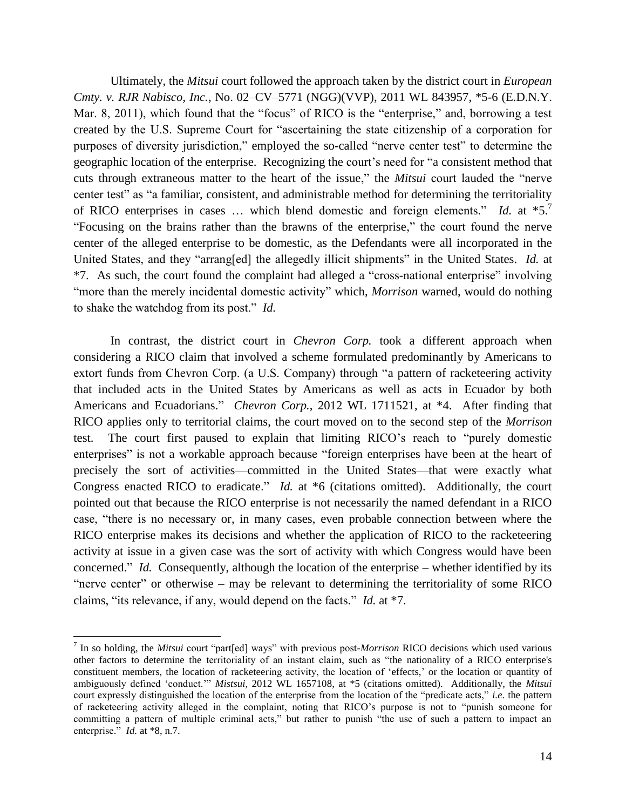Ultimately, the *Mitsui* court followed the approach taken by the district court in *European Cmty. v. RJR Nabisco, Inc.*, No. 02–CV–5771 (NGG)(VVP), 2011 WL 843957, \*5-6 (E.D.N.Y. Mar. 8, 2011), which found that the "focus" of RICO is the "enterprise," and, borrowing a test created by the U.S. Supreme Court for "ascertaining the state citizenship of a corporation for purposes of diversity jurisdiction," employed the so-called "nerve center test" to determine the geographic location of the enterprise. Recognizing the court's need for "a consistent method that cuts through extraneous matter to the heart of the issue," the *Mitsui* court lauded the "nerve center test" as "a familiar, consistent, and administrable method for determining the territoriality of RICO enterprises in cases … which blend domestic and foreign elements." *Id.* at \*5.<sup>7</sup> "Focusing on the brains rather than the brawns of the enterprise," the court found the nerve center of the alleged enterprise to be domestic, as the Defendants were all incorporated in the United States, and they "arrang[ed] the allegedly illicit shipments" in the United States. *Id.* at \*7. As such, the court found the complaint had alleged a "cross-national enterprise" involving "more than the merely incidental domestic activity" which, *Morrison* warned, would do nothing to shake the watchdog from its post." *Id.*

In contrast, the district court in *Chevron Corp.* took a different approach when considering a RICO claim that involved a scheme formulated predominantly by Americans to extort funds from Chevron Corp. (a U.S. Company) through "a pattern of racketeering activity that included acts in the United States by Americans as well as acts in Ecuador by both Americans and Ecuadorians." *Chevron Corp.*, 2012 WL 1711521, at \*4. After finding that RICO applies only to territorial claims, the court moved on to the second step of the *Morrison*  test. The court first paused to explain that limiting RICO's reach to "purely domestic enterprises" is not a workable approach because "foreign enterprises have been at the heart of precisely the sort of activities—committed in the United States—that were exactly what Congress enacted RICO to eradicate." *Id.* at \*6 (citations omitted). Additionally, the court pointed out that because the RICO enterprise is not necessarily the named defendant in a RICO case, "there is no necessary or, in many cases, even probable connection between where the RICO enterprise makes its decisions and whether the application of RICO to the racketeering activity at issue in a given case was the sort of activity with which Congress would have been concerned." *Id.* Consequently, although the location of the enterprise – whether identified by its "nerve center" or otherwise – may be relevant to determining the territoriality of some RICO claims, "its relevance, if any, would depend on the facts." *Id.* at \*7.

<sup>7</sup> In so holding, the *Mitsui* court "part[ed] ways" with previous post-*Morrison* RICO decisions which used various other factors to determine the territoriality of an instant claim, such as "the nationality of a RICO enterprise's constituent members, the location of racketeering activity, the location of 'effects,' or the location or quantity of ambiguously defined 'conduct.'" *Mistsui*, 2012 WL 1657108, at \*5 (citations omitted). Additionally, the *Mitsui* court expressly distinguished the location of the enterprise from the location of the "predicate acts," *i.e.* the pattern of racketeering activity alleged in the complaint, noting that RICO's purpose is not to "punish someone for committing a pattern of multiple criminal acts," but rather to punish "the use of such a pattern to impact an enterprise." *Id.* at \*8, n.7.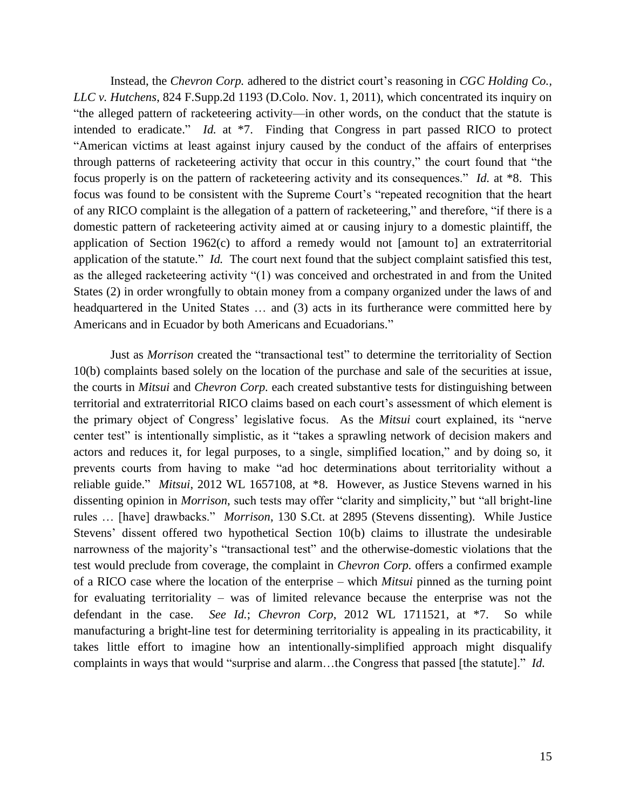Instead, the *Chevron Corp.* adhered to the district court's reasoning in *CGC Holding Co., LLC v. Hutchens*, 824 F.Supp.2d 1193 (D.Colo. Nov. 1, 2011), which concentrated its inquiry on "the alleged pattern of racketeering activity—in other words, on the conduct that the statute is intended to eradicate." *Id.* at \*7. Finding that Congress in part passed RICO to protect "American victims at least against injury caused by the conduct of the affairs of enterprises through patterns of racketeering activity that occur in this country," the court found that "the focus properly is on the pattern of racketeering activity and its consequences." *Id.* at \*8. This focus was found to be consistent with the Supreme Court's "repeated recognition that the heart of any RICO complaint is the allegation of a pattern of racketeering," and therefore, "if there is a domestic pattern of racketeering activity aimed at or causing injury to a domestic plaintiff, the application of Section 1962(c) to afford a remedy would not [amount to] an extraterritorial application of the statute." *Id.* The court next found that the subject complaint satisfied this test, as the alleged racketeering activity "(1) was conceived and orchestrated in and from the United States (2) in order wrongfully to obtain money from a company organized under the laws of and headquartered in the United States … and (3) acts in its furtherance were committed here by Americans and in Ecuador by both Americans and Ecuadorians."

Just as *Morrison* created the "transactional test" to determine the territoriality of Section 10(b) complaints based solely on the location of the purchase and sale of the securities at issue, the courts in *Mitsui* and *Chevron Corp.* each created substantive tests for distinguishing between territorial and extraterritorial RICO claims based on each court's assessment of which element is the primary object of Congress' legislative focus. As the *Mitsui* court explained, its "nerve center test" is intentionally simplistic, as it "takes a sprawling network of decision makers and actors and reduces it, for legal purposes, to a single, simplified location," and by doing so, it prevents courts from having to make "ad hoc determinations about territoriality without a reliable guide." *Mitsui*, 2012 WL 1657108, at \*8. However, as Justice Stevens warned in his dissenting opinion in *Morrison*, such tests may offer "clarity and simplicity," but "all bright-line rules … [have] drawbacks." *Morrison*, 130 S.Ct. at 2895 (Stevens dissenting). While Justice Stevens' dissent offered two hypothetical Section 10(b) claims to illustrate the undesirable narrowness of the majority's "transactional test" and the otherwise-domestic violations that the test would preclude from coverage, the complaint in *Chevron Corp.* offers a confirmed example of a RICO case where the location of the enterprise – which *Mitsui* pinned as the turning point for evaluating territoriality – was of limited relevance because the enterprise was not the defendant in the case. *See Id.*; *Chevron Corp*, 2012 WL 1711521, at \*7. So while manufacturing a bright-line test for determining territoriality is appealing in its practicability, it takes little effort to imagine how an intentionally-simplified approach might disqualify complaints in ways that would "surprise and alarm…the Congress that passed [the statute]." *Id.*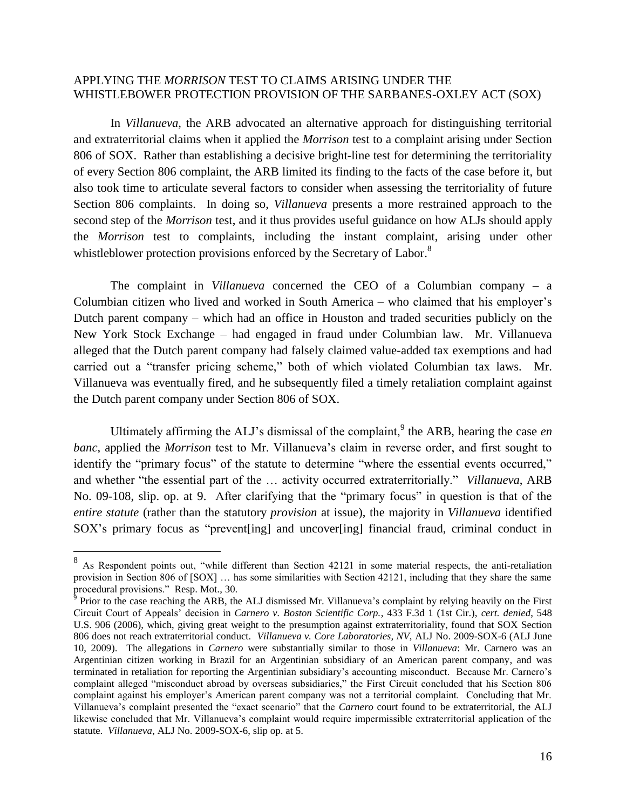# APPLYING THE *MORRISON* TEST TO CLAIMS ARISING UNDER THE WHISTLEBOWER PROTECTION PROVISION OF THE SARBANES-OXLEY ACT (SOX)

In *Villanueva*, the ARB advocated an alternative approach for distinguishing territorial and extraterritorial claims when it applied the *Morrison* test to a complaint arising under Section 806 of SOX. Rather than establishing a decisive bright-line test for determining the territoriality of every Section 806 complaint, the ARB limited its finding to the facts of the case before it, but also took time to articulate several factors to consider when assessing the territoriality of future Section 806 complaints. In doing so, *Villanueva* presents a more restrained approach to the second step of the *Morrison* test, and it thus provides useful guidance on how ALJs should apply the *Morrison* test to complaints, including the instant complaint, arising under other whistleblower protection provisions enforced by the Secretary of Labor.<sup>8</sup>

The complaint in *Villanueva* concerned the CEO of a Columbian company – a Columbian citizen who lived and worked in South America – who claimed that his employer's Dutch parent company – which had an office in Houston and traded securities publicly on the New York Stock Exchange – had engaged in fraud under Columbian law. Mr. Villanueva alleged that the Dutch parent company had falsely claimed value-added tax exemptions and had carried out a "transfer pricing scheme," both of which violated Columbian tax laws. Mr. Villanueva was eventually fired, and he subsequently filed a timely retaliation complaint against the Dutch parent company under Section 806 of SOX.

Ultimately affirming the ALJ's dismissal of the complaint,<sup>9</sup> the ARB, hearing the case *en banc*, applied the *Morrison* test to Mr. Villanueva's claim in reverse order, and first sought to identify the "primary focus" of the statute to determine "where the essential events occurred," and whether "the essential part of the … activity occurred extraterritorially." *Villanueva*, ARB No. 09-108, slip. op. at 9. After clarifying that the "primary focus" in question is that of the *entire statute* (rather than the statutory *provision* at issue), the majority in *Villanueva* identified SOX's primary focus as "prevent [ing] and uncover [ing] financial fraud, criminal conduct in

<sup>&</sup>lt;sup>8</sup> As Respondent points out, "while different than Section 42121 in some material respects, the anti-retaliation provision in Section 806 of [SOX] … has some similarities with Section 42121, including that they share the same procedural provisions." Resp. Mot., 30.<br><sup>9</sup> Prior to the case reaching the ARB, the ALJ dismissed Mr. Villanueva's complaint by relying heavily on the First

Circuit Court of Appeals' decision in *Carnero v. Boston Scientific Corp.*, 433 F.3d 1 (1st Cir.), *cert. denied*, 548 U.S. 906 (2006), which, giving great weight to the presumption against extraterritoriality, found that SOX Section 806 does not reach extraterritorial conduct. *Villanueva v. Core Laboratories, NV*, ALJ No. 2009-SOX-6 (ALJ June 10, 2009). The allegations in *Carnero* were substantially similar to those in *Villanueva*: Mr. Carnero was an Argentinian citizen working in Brazil for an Argentinian subsidiary of an American parent company, and was terminated in retaliation for reporting the Argentinian subsidiary's accounting misconduct. Because Mr. Carnero's complaint alleged "misconduct abroad by overseas subsidiaries," the First Circuit concluded that his Section 806 complaint against his employer's American parent company was not a territorial complaint. Concluding that Mr. Villanueva's complaint presented the "exact scenario" that the *Carnero* court found to be extraterritorial, the ALJ likewise concluded that Mr. Villanueva's complaint would require impermissible extraterritorial application of the statute. *Villanueva*, ALJ No. 2009-SOX-6, slip op. at 5.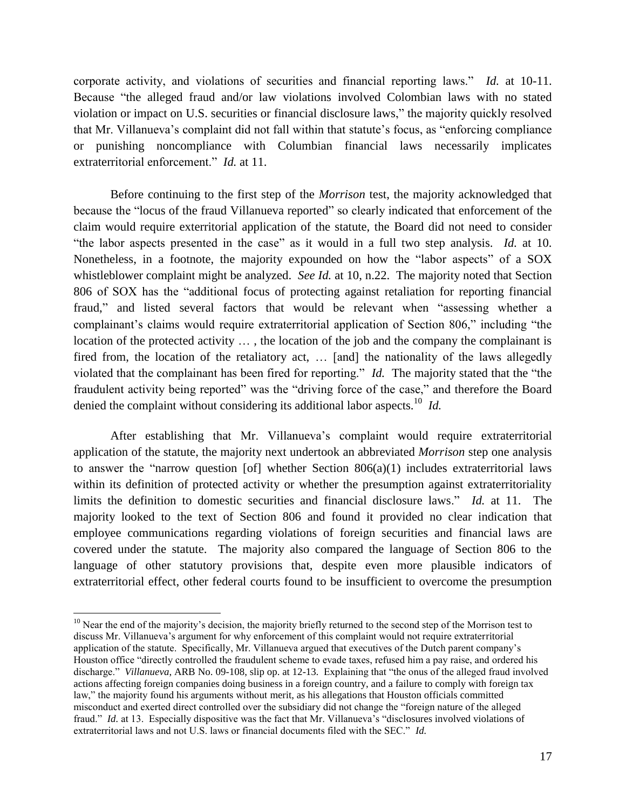corporate activity, and violations of securities and financial reporting laws." *Id.* at 10-11. Because "the alleged fraud and/or law violations involved Colombian laws with no stated violation or impact on U.S. securities or financial disclosure laws," the majority quickly resolved that Mr. Villanueva's complaint did not fall within that statute's focus, as "enforcing compliance or punishing noncompliance with Columbian financial laws necessarily implicates extraterritorial enforcement." *Id.* at 11.

Before continuing to the first step of the *Morrison* test, the majority acknowledged that because the "locus of the fraud Villanueva reported" so clearly indicated that enforcement of the claim would require exterritorial application of the statute, the Board did not need to consider "the labor aspects presented in the case" as it would in a full two step analysis. *Id.* at 10. Nonetheless, in a footnote, the majority expounded on how the "labor aspects" of a SOX whistleblower complaint might be analyzed. *See Id.* at 10, n.22. The majority noted that Section 806 of SOX has the "additional focus of protecting against retaliation for reporting financial fraud," and listed several factors that would be relevant when "assessing whether a complainant's claims would require extraterritorial application of Section 806," including "the location of the protected activity … , the location of the job and the company the complainant is fired from, the location of the retaliatory act, … [and] the nationality of the laws allegedly violated that the complainant has been fired for reporting." *Id.* The majority stated that the "the fraudulent activity being reported" was the "driving force of the case," and therefore the Board denied the complaint without considering its additional labor aspects.<sup>10</sup> *Id.* 

After establishing that Mr. Villanueva's complaint would require extraterritorial application of the statute, the majority next undertook an abbreviated *Morrison* step one analysis to answer the "narrow question [of] whether Section  $806(a)(1)$  includes extraterritorial laws within its definition of protected activity or whether the presumption against extraterritoriality limits the definition to domestic securities and financial disclosure laws." *Id.* at 11. The majority looked to the text of Section 806 and found it provided no clear indication that employee communications regarding violations of foreign securities and financial laws are covered under the statute. The majority also compared the language of Section 806 to the language of other statutory provisions that, despite even more plausible indicators of extraterritorial effect, other federal courts found to be insufficient to overcome the presumption

 $10$  Near the end of the majority's decision, the majority briefly returned to the second step of the Morrison test to discuss Mr. Villanueva's argument for why enforcement of this complaint would not require extraterritorial application of the statute. Specifically, Mr. Villanueva argued that executives of the Dutch parent company's Houston office "directly controlled the fraudulent scheme to evade taxes, refused him a pay raise, and ordered his discharge." *Villanueva*, ARB No. 09-108, slip op. at 12-13*.* Explaining that "the onus of the alleged fraud involved actions affecting foreign companies doing business in a foreign country, and a failure to comply with foreign tax law," the majority found his arguments without merit, as his allegations that Houston officials committed misconduct and exerted direct controlled over the subsidiary did not change the "foreign nature of the alleged fraud." *Id.* at 13. Especially dispositive was the fact that Mr. Villanueva's "disclosures involved violations of extraterritorial laws and not U.S. laws or financial documents filed with the SEC." *Id.*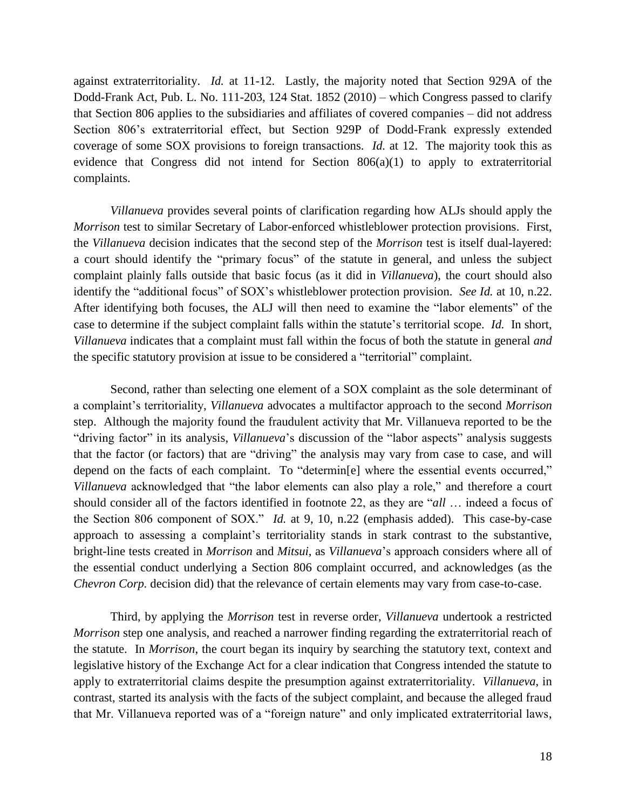against extraterritoriality. *Id.* at 11-12. Lastly, the majority noted that Section 929A of the Dodd-Frank Act, Pub. L. No. 111-203, 124 Stat. 1852 (2010) – which Congress passed to clarify that Section 806 applies to the subsidiaries and affiliates of covered companies – did not address Section 806's extraterritorial effect, but Section 929P of Dodd-Frank expressly extended coverage of some SOX provisions to foreign transactions. *Id.* at 12. The majority took this as evidence that Congress did not intend for Section 806(a)(1) to apply to extraterritorial complaints.

*Villanueva* provides several points of clarification regarding how ALJs should apply the *Morrison* test to similar Secretary of Labor-enforced whistleblower protection provisions. First, the *Villanueva* decision indicates that the second step of the *Morrison* test is itself dual-layered: a court should identify the "primary focus" of the statute in general, and unless the subject complaint plainly falls outside that basic focus (as it did in *Villanueva*), the court should also identify the "additional focus" of SOX's whistleblower protection provision. *See Id.* at 10, n.22. After identifying both focuses, the ALJ will then need to examine the "labor elements" of the case to determine if the subject complaint falls within the statute's territorial scope. *Id.* In short, *Villanueva* indicates that a complaint must fall within the focus of both the statute in general *and* the specific statutory provision at issue to be considered a "territorial" complaint.

Second, rather than selecting one element of a SOX complaint as the sole determinant of a complaint's territoriality, *Villanueva* advocates a multifactor approach to the second *Morrison*  step. Although the majority found the fraudulent activity that Mr. Villanueva reported to be the "driving factor" in its analysis, *Villanueva*'s discussion of the "labor aspects" analysis suggests that the factor (or factors) that are "driving" the analysis may vary from case to case, and will depend on the facts of each complaint. To "determin[e] where the essential events occurred," *Villanueva* acknowledged that "the labor elements can also play a role," and therefore a court should consider all of the factors identified in footnote 22, as they are "*all* … indeed a focus of the Section 806 component of SOX." *Id.* at 9, 10, n.22 (emphasis added). This case-by-case approach to assessing a complaint's territoriality stands in stark contrast to the substantive, bright-line tests created in *Morrison* and *Mitsui*, as *Villanueva*'s approach considers where all of the essential conduct underlying a Section 806 complaint occurred, and acknowledges (as the *Chevron Corp.* decision did) that the relevance of certain elements may vary from case-to-case.

Third, by applying the *Morrison* test in reverse order, *Villanueva* undertook a restricted *Morrison* step one analysis, and reached a narrower finding regarding the extraterritorial reach of the statute. In *Morrison*, the court began its inquiry by searching the statutory text, context and legislative history of the Exchange Act for a clear indication that Congress intended the statute to apply to extraterritorial claims despite the presumption against extraterritoriality. *Villanueva*, in contrast, started its analysis with the facts of the subject complaint, and because the alleged fraud that Mr. Villanueva reported was of a "foreign nature" and only implicated extraterritorial laws,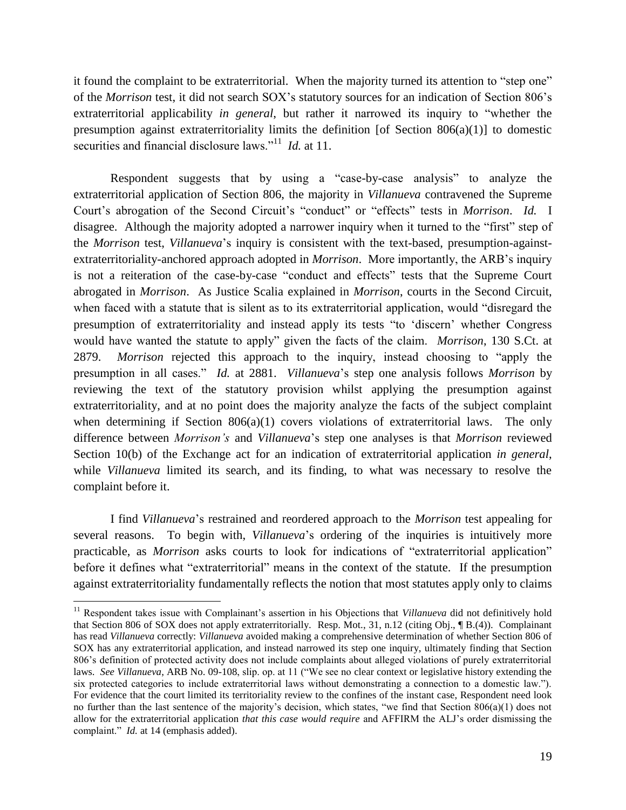it found the complaint to be extraterritorial. When the majority turned its attention to "step one" of the *Morrison* test, it did not search SOX's statutory sources for an indication of Section 806's extraterritorial applicability *in general*, but rather it narrowed its inquiry to "whether the presumption against extraterritoriality limits the definition [of Section  $806(a)(1)$ ] to domestic securities and financial disclosure laws."<sup>11</sup> *Id.* at 11.

Respondent suggests that by using a "case-by-case analysis" to analyze the extraterritorial application of Section 806, the majority in *Villanueva* contravened the Supreme Court's abrogation of the Second Circuit's "conduct" or "effects" tests in *Morrison*. *Id.* I disagree. Although the majority adopted a narrower inquiry when it turned to the "first" step of the *Morrison* test, *Villanueva*'s inquiry is consistent with the text-based, presumption-againstextraterritoriality-anchored approach adopted in *Morrison*. More importantly, the ARB's inquiry is not a reiteration of the case-by-case "conduct and effects" tests that the Supreme Court abrogated in *Morrison*. As Justice Scalia explained in *Morrison*, courts in the Second Circuit, when faced with a statute that is silent as to its extraterritorial application, would "disregard the presumption of extraterritoriality and instead apply its tests "to 'discern' whether Congress would have wanted the statute to apply" given the facts of the claim. *Morrison*, 130 S.Ct. at 2879. *Morrison* rejected this approach to the inquiry, instead choosing to "apply the presumption in all cases." *Id.* at 2881. *Villanueva*'s step one analysis follows *Morrison* by reviewing the text of the statutory provision whilst applying the presumption against extraterritoriality, and at no point does the majority analyze the facts of the subject complaint when determining if Section 806(a)(1) covers violations of extraterritorial laws. The only difference between *Morrison's* and *Villanueva*'s step one analyses is that *Morrison* reviewed Section 10(b) of the Exchange act for an indication of extraterritorial application *in general*, while *Villanueva* limited its search, and its finding, to what was necessary to resolve the complaint before it.

I find *Villanueva*'s restrained and reordered approach to the *Morrison* test appealing for several reasons. To begin with, *Villanueva*'s ordering of the inquiries is intuitively more practicable, as *Morrison* asks courts to look for indications of "extraterritorial application" before it defines what "extraterritorial" means in the context of the statute. If the presumption against extraterritoriality fundamentally reflects the notion that most statutes apply only to claims

<sup>11</sup> Respondent takes issue with Complainant's assertion in his Objections that *Villanueva* did not definitively hold that Section 806 of SOX does not apply extraterritorially. Resp. Mot., 31, n.12 (citing Obj., ¶ B.(4)). Complainant has read *Villanueva* correctly: *Villanueva* avoided making a comprehensive determination of whether Section 806 of SOX has any extraterritorial application, and instead narrowed its step one inquiry, ultimately finding that Section 806's definition of protected activity does not include complaints about alleged violations of purely extraterritorial laws. *See Villanueva*, ARB No. 09-108, slip. op. at 11 ("We see no clear context or legislative history extending the six protected categories to include extraterritorial laws without demonstrating a connection to a domestic law."). For evidence that the court limited its territoriality review to the confines of the instant case, Respondent need look no further than the last sentence of the majority's decision, which states, "we find that Section 806(a)(1) does not allow for the extraterritorial application *that this case would require* and AFFIRM the ALJ's order dismissing the complaint." *Id.* at 14 (emphasis added).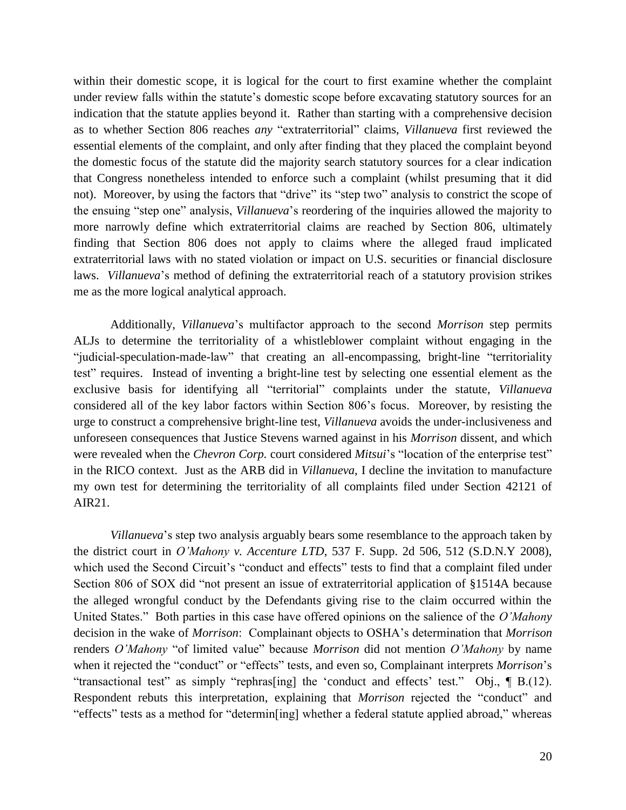within their domestic scope, it is logical for the court to first examine whether the complaint under review falls within the statute's domestic scope before excavating statutory sources for an indication that the statute applies beyond it. Rather than starting with a comprehensive decision as to whether Section 806 reaches *any* "extraterritorial" claims, *Villanueva* first reviewed the essential elements of the complaint, and only after finding that they placed the complaint beyond the domestic focus of the statute did the majority search statutory sources for a clear indication that Congress nonetheless intended to enforce such a complaint (whilst presuming that it did not). Moreover, by using the factors that "drive" its "step two" analysis to constrict the scope of the ensuing "step one" analysis, *Villanueva*'s reordering of the inquiries allowed the majority to more narrowly define which extraterritorial claims are reached by Section 806, ultimately finding that Section 806 does not apply to claims where the alleged fraud implicated extraterritorial laws with no stated violation or impact on U.S. securities or financial disclosure laws. *Villanueva*'s method of defining the extraterritorial reach of a statutory provision strikes me as the more logical analytical approach.

Additionally, *Villanueva*'s multifactor approach to the second *Morrison* step permits ALJs to determine the territoriality of a whistleblower complaint without engaging in the "judicial-speculation-made-law" that creating an all-encompassing, bright-line "territoriality test" requires. Instead of inventing a bright-line test by selecting one essential element as the exclusive basis for identifying all "territorial" complaints under the statute, *Villanueva* considered all of the key labor factors within Section 806's focus. Moreover, by resisting the urge to construct a comprehensive bright-line test, *Villanueva* avoids the under-inclusiveness and unforeseen consequences that Justice Stevens warned against in his *Morrison* dissent, and which were revealed when the *Chevron Corp.* court considered *Mitsui*'s "location of the enterprise test" in the RICO context. Just as the ARB did in *Villanueva*, I decline the invitation to manufacture my own test for determining the territoriality of all complaints filed under Section 42121 of AIR21.

*Villanueva*'s step two analysis arguably bears some resemblance to the approach taken by the district court in *O'Mahony v. Accenture LTD*, 537 F. Supp. 2d 506, 512 (S.D.N.Y 2008), which used the Second Circuit's "conduct and effects" tests to find that a complaint filed under Section 806 of SOX did "not present an issue of extraterritorial application of §1514A because the alleged wrongful conduct by the Defendants giving rise to the claim occurred within the United States." Both parties in this case have offered opinions on the salience of the *O'Mahony* decision in the wake of *Morrison*: Complainant objects to OSHA's determination that *Morrison*  renders *O'Mahony* "of limited value" because *Morrison* did not mention *O'Mahony* by name when it rejected the "conduct" or "effects" tests, and even so, Complainant interprets *Morrison*'s "transactional test" as simply "rephras[ing] the 'conduct and effects' test." Obj., ¶ B.(12). Respondent rebuts this interpretation, explaining that *Morrison* rejected the "conduct" and "effects" tests as a method for "determin[ing] whether a federal statute applied abroad," whereas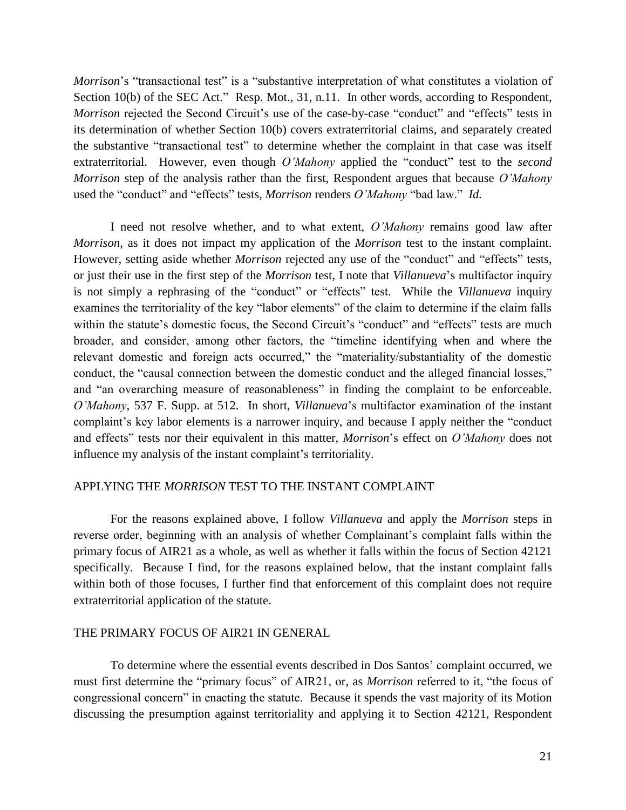*Morrison*'s "transactional test" is a "substantive interpretation of what constitutes a violation of Section 10(b) of the SEC Act." Resp. Mot., 31, n.11. In other words, according to Respondent, *Morrison* rejected the Second Circuit's use of the case-by-case "conduct" and "effects" tests in its determination of whether Section 10(b) covers extraterritorial claims, and separately created the substantive "transactional test" to determine whether the complaint in that case was itself extraterritorial. However, even though *O'Mahony* applied the "conduct" test to the *second Morrison* step of the analysis rather than the first, Respondent argues that because *O'Mahony* used the "conduct" and "effects" tests, *Morrison* renders *O'Mahony* "bad law." *Id.*

I need not resolve whether, and to what extent, *O'Mahony* remains good law after *Morrison*, as it does not impact my application of the *Morrison* test to the instant complaint. However, setting aside whether *Morrison* rejected any use of the "conduct" and "effects" tests, or just their use in the first step of the *Morrison* test, I note that *Villanueva*'s multifactor inquiry is not simply a rephrasing of the "conduct" or "effects" test. While the *Villanueva* inquiry examines the territoriality of the key "labor elements" of the claim to determine if the claim falls within the statute's domestic focus, the Second Circuit's "conduct" and "effects" tests are much broader, and consider, among other factors, the "timeline identifying when and where the relevant domestic and foreign acts occurred," the "materiality/substantiality of the domestic conduct, the "causal connection between the domestic conduct and the alleged financial losses," and "an overarching measure of reasonableness" in finding the complaint to be enforceable. *O'Mahony*, 537 F. Supp. at 512. In short, *Villanueva*'s multifactor examination of the instant complaint's key labor elements is a narrower inquiry, and because I apply neither the "conduct and effects" tests nor their equivalent in this matter, *Morrison*'s effect on *O'Mahony* does not influence my analysis of the instant complaint's territoriality.

## APPLYING THE *MORRISON* TEST TO THE INSTANT COMPLAINT

For the reasons explained above, I follow *Villanueva* and apply the *Morrison* steps in reverse order, beginning with an analysis of whether Complainant's complaint falls within the primary focus of AIR21 as a whole, as well as whether it falls within the focus of Section 42121 specifically. Because I find, for the reasons explained below, that the instant complaint falls within both of those focuses, I further find that enforcement of this complaint does not require extraterritorial application of the statute.

# THE PRIMARY FOCUS OF AIR21 IN GENERAL

To determine where the essential events described in Dos Santos' complaint occurred, we must first determine the "primary focus" of AIR21, or, as *Morrison* referred to it, "the focus of congressional concern" in enacting the statute. Because it spends the vast majority of its Motion discussing the presumption against territoriality and applying it to Section 42121, Respondent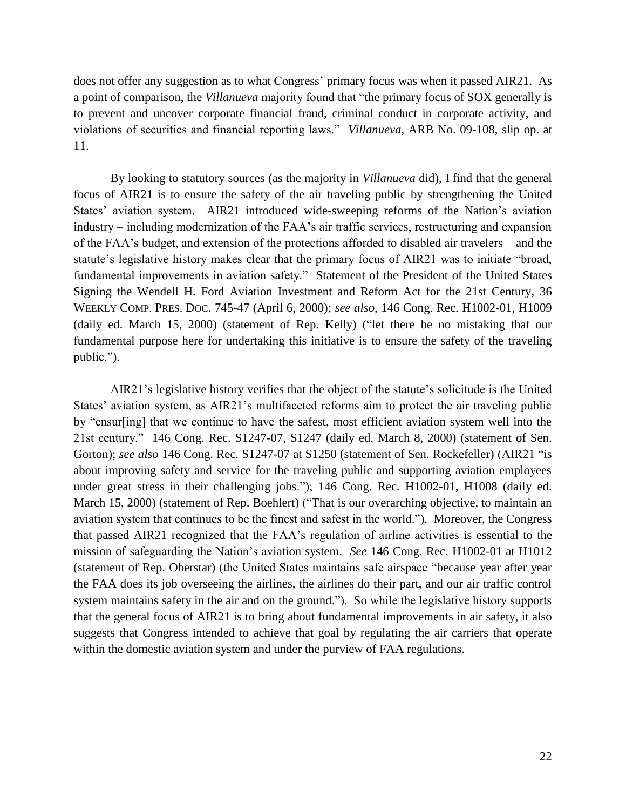does not offer any suggestion as to what Congress' primary focus was when it passed AIR21. As a point of comparison, the *Villanueva* majority found that "the primary focus of SOX generally is to prevent and uncover corporate financial fraud, criminal conduct in corporate activity, and violations of securities and financial reporting laws." *Villanueva*, ARB No. 09-108, slip op. at 11.

By looking to statutory sources (as the majority in *Villanueva* did), I find that the general focus of AIR21 is to ensure the safety of the air traveling public by strengthening the United States' aviation system. AIR21 introduced wide-sweeping reforms of the Nation's aviation industry – including modernization of the FAA's air traffic services, restructuring and expansion of the FAA's budget, and extension of the protections afforded to disabled air travelers – and the statute's legislative history makes clear that the primary focus of AIR21 was to initiate "broad, fundamental improvements in aviation safety." Statement of the President of the United States Signing the Wendell H. Ford Aviation Investment and Reform Act for the 21st Century, 36 WEEKLY COMP. PRES. DOC. 745-47 (April 6, 2000); *see also*, 146 Cong. Rec. H1002-01, H1009 (daily ed. March 15, 2000) (statement of Rep. Kelly) ("let there be no mistaking that our fundamental purpose here for undertaking this initiative is to ensure the safety of the traveling public.").

AIR21's legislative history verifies that the object of the statute's solicitude is the United States' aviation system, as AIR21's multifaceted reforms aim to protect the air traveling public by "ensur[ing] that we continue to have the safest, most efficient aviation system well into the 21st century." 146 Cong. Rec. S1247-07, S1247 (daily ed. March 8, 2000) (statement of Sen. Gorton); *see also* 146 Cong. Rec. S1247-07 at S1250 (statement of Sen. Rockefeller) (AIR21 "is about improving safety and service for the traveling public and supporting aviation employees under great stress in their challenging jobs."); 146 Cong. Rec. H1002-01, H1008 (daily ed. March 15, 2000) (statement of Rep. Boehlert) ("That is our overarching objective, to maintain an aviation system that continues to be the finest and safest in the world."). Moreover, the Congress that passed AIR21 recognized that the FAA's regulation of airline activities is essential to the mission of safeguarding the Nation's aviation system. *See* 146 Cong. Rec. H1002-01 at H1012 (statement of Rep. Oberstar) (the United States maintains safe airspace "because year after year the FAA does its job overseeing the airlines, the airlines do their part, and our air traffic control system maintains safety in the air and on the ground."). So while the legislative history supports that the general focus of AIR21 is to bring about fundamental improvements in air safety, it also suggests that Congress intended to achieve that goal by regulating the air carriers that operate within the domestic aviation system and under the purview of FAA regulations.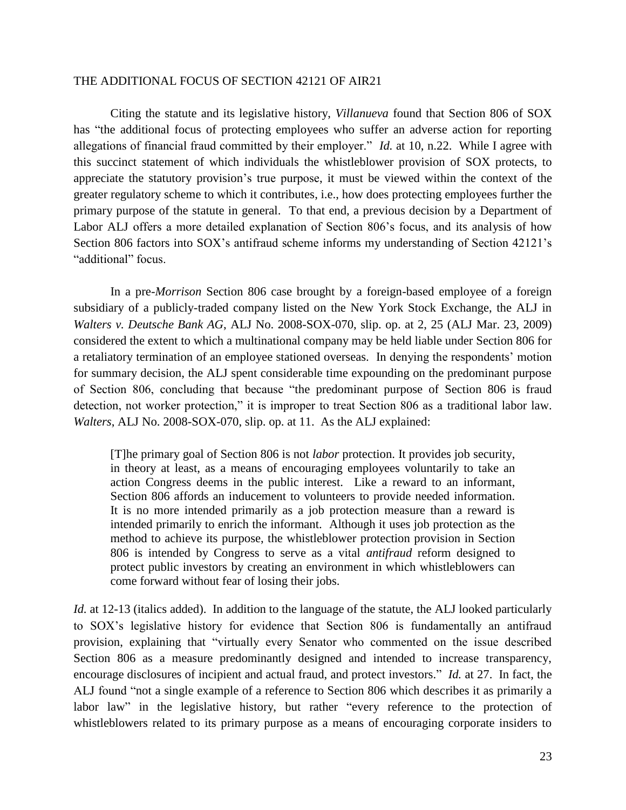# THE ADDITIONAL FOCUS OF SECTION 42121 OF AIR21

Citing the statute and its legislative history, *Villanueva* found that Section 806 of SOX has "the additional focus of protecting employees who suffer an adverse action for reporting allegations of financial fraud committed by their employer." *Id.* at 10, n.22. While I agree with this succinct statement of which individuals the whistleblower provision of SOX protects, to appreciate the statutory provision's true purpose, it must be viewed within the context of the greater regulatory scheme to which it contributes, i.e., how does protecting employees further the primary purpose of the statute in general. To that end, a previous decision by a Department of Labor ALJ offers a more detailed explanation of Section 806's focus, and its analysis of how Section 806 factors into SOX's antifraud scheme informs my understanding of Section 42121's "additional" focus.

In a pre-*Morrison* Section 806 case brought by a foreign-based employee of a foreign subsidiary of a publicly-traded company listed on the New York Stock Exchange, the ALJ in *Walters v. Deutsche Bank AG*, ALJ No. 2008-SOX-070, slip. op. at 2, 25 (ALJ Mar. 23, 2009) considered the extent to which a multinational company may be held liable under Section 806 for a retaliatory termination of an employee stationed overseas. In denying the respondents' motion for summary decision, the ALJ spent considerable time expounding on the predominant purpose of Section 806, concluding that because "the predominant purpose of Section 806 is fraud detection, not worker protection," it is improper to treat Section 806 as a traditional labor law. *Walters*, ALJ No. 2008-SOX-070, slip. op. at 11. As the ALJ explained:

[T]he primary goal of Section 806 is not *labor* protection. It provides job security, in theory at least, as a means of encouraging employees voluntarily to take an action Congress deems in the public interest. Like a reward to an informant, Section 806 affords an inducement to volunteers to provide needed information. It is no more intended primarily as a job protection measure than a reward is intended primarily to enrich the informant. Although it uses job protection as the method to achieve its purpose, the whistleblower protection provision in Section 806 is intended by Congress to serve as a vital *antifraud* reform designed to protect public investors by creating an environment in which whistleblowers can come forward without fear of losing their jobs.

*Id.* at 12-13 (italics added). In addition to the language of the statute, the ALJ looked particularly to SOX's legislative history for evidence that Section 806 is fundamentally an antifraud provision, explaining that "virtually every Senator who commented on the issue described Section 806 as a measure predominantly designed and intended to increase transparency, encourage disclosures of incipient and actual fraud, and protect investors." *Id.* at 27. In fact, the ALJ found "not a single example of a reference to Section 806 which describes it as primarily a labor law" in the legislative history, but rather "every reference to the protection of whistleblowers related to its primary purpose as a means of encouraging corporate insiders to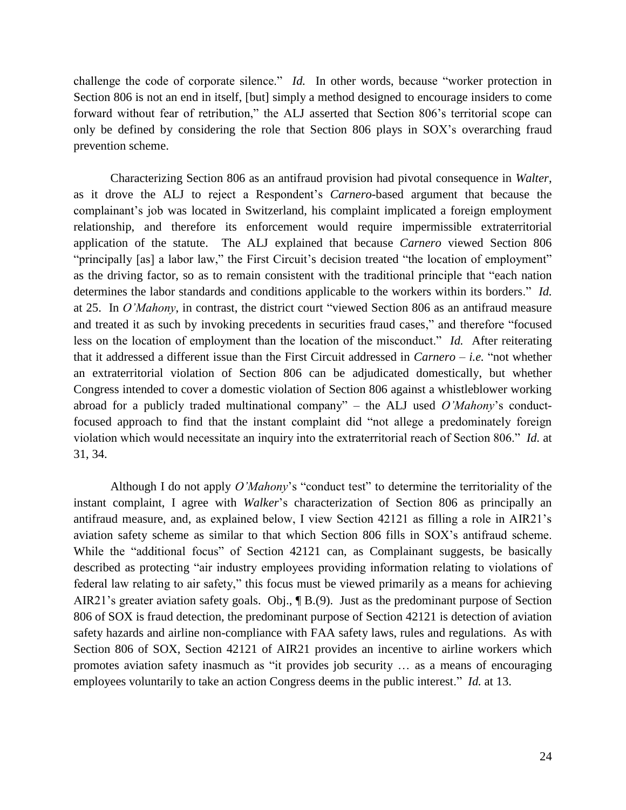challenge the code of corporate silence." *Id.* In other words, because "worker protection in Section 806 is not an end in itself, [but] simply a method designed to encourage insiders to come forward without fear of retribution," the ALJ asserted that Section 806's territorial scope can only be defined by considering the role that Section 806 plays in SOX's overarching fraud prevention scheme.

Characterizing Section 806 as an antifraud provision had pivotal consequence in *Walter*, as it drove the ALJ to reject a Respondent's *Carnero*-based argument that because the complainant's job was located in Switzerland, his complaint implicated a foreign employment relationship, and therefore its enforcement would require impermissible extraterritorial application of the statute. The ALJ explained that because *Carnero* viewed Section 806 "principally [as] a labor law," the First Circuit's decision treated "the location of employment" as the driving factor, so as to remain consistent with the traditional principle that "each nation determines the labor standards and conditions applicable to the workers within its borders." *Id.*  at 25. In *O'Mahony*, in contrast, the district court "viewed Section 806 as an antifraud measure and treated it as such by invoking precedents in securities fraud cases," and therefore "focused less on the location of employment than the location of the misconduct." *Id.* After reiterating that it addressed a different issue than the First Circuit addressed in *Carnero* – *i.e.* "not whether an extraterritorial violation of Section 806 can be adjudicated domestically, but whether Congress intended to cover a domestic violation of Section 806 against a whistleblower working abroad for a publicly traded multinational company" – the ALJ used *O'Mahony*'s conductfocused approach to find that the instant complaint did "not allege a predominately foreign violation which would necessitate an inquiry into the extraterritorial reach of Section 806." *Id.* at 31, 34.

Although I do not apply *O'Mahony*'s "conduct test" to determine the territoriality of the instant complaint, I agree with *Walker*'s characterization of Section 806 as principally an antifraud measure, and, as explained below, I view Section 42121 as filling a role in AIR21's aviation safety scheme as similar to that which Section 806 fills in SOX's antifraud scheme. While the "additional focus" of Section 42121 can, as Complainant suggests, be basically described as protecting "air industry employees providing information relating to violations of federal law relating to air safety," this focus must be viewed primarily as a means for achieving AIR21's greater aviation safety goals. Obj., ¶ B.(9). Just as the predominant purpose of Section 806 of SOX is fraud detection, the predominant purpose of Section 42121 is detection of aviation safety hazards and airline non-compliance with FAA safety laws, rules and regulations. As with Section 806 of SOX, Section 42121 of AIR21 provides an incentive to airline workers which promotes aviation safety inasmuch as "it provides job security … as a means of encouraging employees voluntarily to take an action Congress deems in the public interest." *Id.* at 13.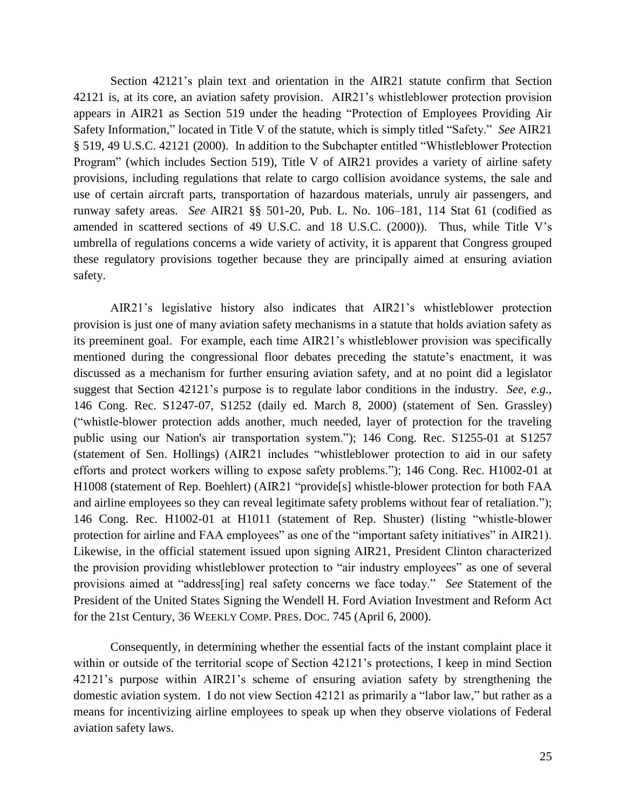Section 42121's plain text and orientation in the AIR21 statute confirm that Section 42121 is, at its core, an aviation safety provision. AIR21's whistleblower protection provision appears in AIR21 as Section 519 under the heading "Protection of Employees Providing Air Safety Information," located in Title V of the statute, which is simply titled "Safety." *See* AIR21 § 519, 49 U.S.C. 42121 (2000). In addition to the Subchapter entitled "Whistleblower Protection Program" (which includes Section 519), Title V of AIR21 provides a variety of airline safety provisions, including regulations that relate to cargo collision avoidance systems, the sale and use of certain aircraft parts, transportation of hazardous materials, unruly air passengers, and runway safety areas. *See* AIR21 §§ 501-20, Pub. L. No. 106–181, 114 Stat 61 (codified as amended in scattered sections of 49 U.S.C. and 18 U.S.C. (2000)). Thus, while Title V's umbrella of regulations concerns a wide variety of activity, it is apparent that Congress grouped these regulatory provisions together because they are principally aimed at ensuring aviation safety.

AIR21's legislative history also indicates that AIR21's whistleblower protection provision is just one of many aviation safety mechanisms in a statute that holds aviation safety as its preeminent goal. For example, each time AIR21's whistleblower provision was specifically mentioned during the congressional floor debates preceding the statute's enactment, it was discussed as a mechanism for further ensuring aviation safety, and at no point did a legislator suggest that Section 42121's purpose is to regulate labor conditions in the industry. *See, e.g.,*  146 Cong. Rec. S1247-07, S1252 (daily ed. March 8, 2000) (statement of Sen. Grassley) ("whistle-blower protection adds another, much needed, layer of protection for the traveling public using our Nation's air transportation system."); 146 Cong. Rec. S1255-01 at S1257 (statement of Sen. Hollings) (AIR21 includes "whistleblower protection to aid in our safety efforts and protect workers willing to expose safety problems."); 146 Cong. Rec. H1002-01 at H1008 (statement of Rep. Boehlert) (AIR21 "provide[s] whistle-blower protection for both FAA and airline employees so they can reveal legitimate safety problems without fear of retaliation."); 146 Cong. Rec. H1002-01 at H1011 (statement of Rep. Shuster) (listing "whistle-blower protection for airline and FAA employees" as one of the "important safety initiatives" in AIR21). Likewise, in the official statement issued upon signing AIR21, President Clinton characterized the provision providing whistleblower protection to "air industry employees" as one of several provisions aimed at "address[ing] real safety concerns we face today." *See* Statement of the President of the United States Signing the Wendell H. Ford Aviation Investment and Reform Act for the 21st Century, 36 WEEKLY COMP. PRES. DOC. 745 (April 6, 2000).

Consequently, in determining whether the essential facts of the instant complaint place it within or outside of the territorial scope of Section 42121's protections, I keep in mind Section 42121's purpose within AIR21's scheme of ensuring aviation safety by strengthening the domestic aviation system. I do not view Section 42121 as primarily a "labor law," but rather as a means for incentivizing airline employees to speak up when they observe violations of Federal aviation safety laws.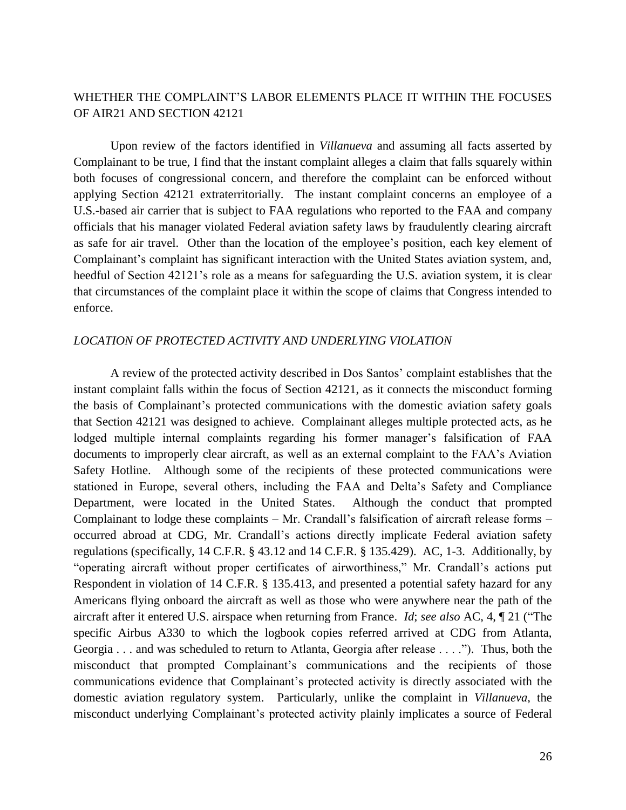# WHETHER THE COMPLAINT'S LABOR ELEMENTS PLACE IT WITHIN THE FOCUSES OF AIR21 AND SECTION 42121

Upon review of the factors identified in *Villanueva* and assuming all facts asserted by Complainant to be true, I find that the instant complaint alleges a claim that falls squarely within both focuses of congressional concern, and therefore the complaint can be enforced without applying Section 42121 extraterritorially. The instant complaint concerns an employee of a U.S.-based air carrier that is subject to FAA regulations who reported to the FAA and company officials that his manager violated Federal aviation safety laws by fraudulently clearing aircraft as safe for air travel. Other than the location of the employee's position, each key element of Complainant's complaint has significant interaction with the United States aviation system, and, heedful of Section 42121's role as a means for safeguarding the U.S. aviation system, it is clear that circumstances of the complaint place it within the scope of claims that Congress intended to enforce.

## *LOCATION OF PROTECTED ACTIVITY AND UNDERLYING VIOLATION*

A review of the protected activity described in Dos Santos' complaint establishes that the instant complaint falls within the focus of Section 42121, as it connects the misconduct forming the basis of Complainant's protected communications with the domestic aviation safety goals that Section 42121 was designed to achieve. Complainant alleges multiple protected acts, as he lodged multiple internal complaints regarding his former manager's falsification of FAA documents to improperly clear aircraft, as well as an external complaint to the FAA's Aviation Safety Hotline. Although some of the recipients of these protected communications were stationed in Europe, several others, including the FAA and Delta's Safety and Compliance Department, were located in the United States. Although the conduct that prompted Complainant to lodge these complaints – Mr. Crandall's falsification of aircraft release forms – occurred abroad at CDG, Mr. Crandall's actions directly implicate Federal aviation safety regulations (specifically, 14 C.F.R. § 43.12 and 14 C.F.R. § 135.429). AC, 1-3. Additionally, by "operating aircraft without proper certificates of airworthiness," Mr. Crandall's actions put Respondent in violation of 14 C.F.R. § 135.413, and presented a potential safety hazard for any Americans flying onboard the aircraft as well as those who were anywhere near the path of the aircraft after it entered U.S. airspace when returning from France. *Id*; *see also* AC, 4, ¶ 21 ("The specific Airbus A330 to which the logbook copies referred arrived at CDG from Atlanta, Georgia . . . and was scheduled to return to Atlanta, Georgia after release . . . ."). Thus, both the misconduct that prompted Complainant's communications and the recipients of those communications evidence that Complainant's protected activity is directly associated with the domestic aviation regulatory system. Particularly, unlike the complaint in *Villanueva*, the misconduct underlying Complainant's protected activity plainly implicates a source of Federal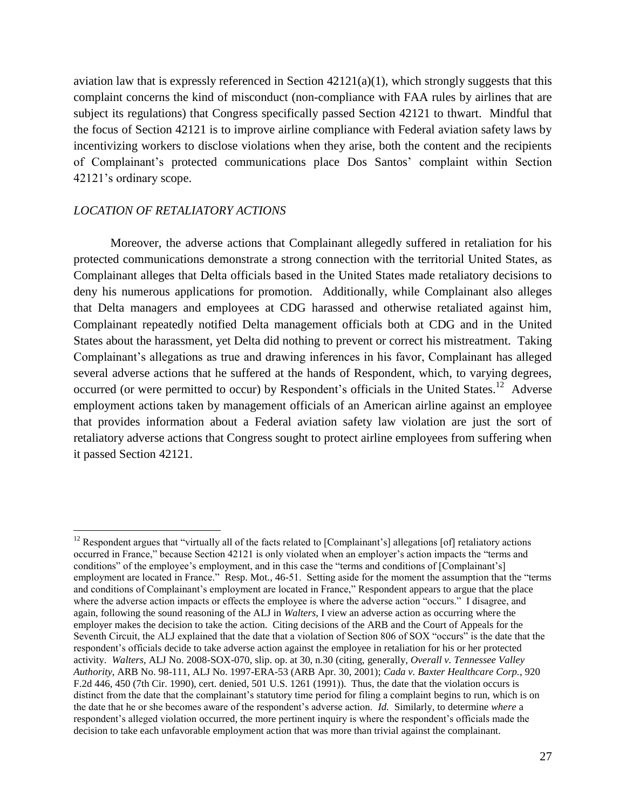aviation law that is expressly referenced in Section  $42121(a)(1)$ , which strongly suggests that this complaint concerns the kind of misconduct (non-compliance with FAA rules by airlines that are subject its regulations) that Congress specifically passed Section 42121 to thwart. Mindful that the focus of Section 42121 is to improve airline compliance with Federal aviation safety laws by incentivizing workers to disclose violations when they arise, both the content and the recipients of Complainant's protected communications place Dos Santos' complaint within Section 42121's ordinary scope.

## *LOCATION OF RETALIATORY ACTIONS*

 $\overline{a}$ 

Moreover, the adverse actions that Complainant allegedly suffered in retaliation for his protected communications demonstrate a strong connection with the territorial United States, as Complainant alleges that Delta officials based in the United States made retaliatory decisions to deny his numerous applications for promotion. Additionally, while Complainant also alleges that Delta managers and employees at CDG harassed and otherwise retaliated against him, Complainant repeatedly notified Delta management officials both at CDG and in the United States about the harassment, yet Delta did nothing to prevent or correct his mistreatment. Taking Complainant's allegations as true and drawing inferences in his favor, Complainant has alleged several adverse actions that he suffered at the hands of Respondent, which, to varying degrees, occurred (or were permitted to occur) by Respondent's officials in the United States.<sup>12</sup> Adverse employment actions taken by management officials of an American airline against an employee that provides information about a Federal aviation safety law violation are just the sort of retaliatory adverse actions that Congress sought to protect airline employees from suffering when it passed Section 42121.

 $12$  Respondent argues that "virtually all of the facts related to [Complainant's] allegations [of] retaliatory actions occurred in France," because Section 42121 is only violated when an employer's action impacts the "terms and conditions" of the employee's employment, and in this case the "terms and conditions of [Complainant's] employment are located in France." Resp. Mot., 46-51. Setting aside for the moment the assumption that the "terms" and conditions of Complainant's employment are located in France," Respondent appears to argue that the place where the adverse action impacts or effects the employee is where the adverse action "occurs." I disagree, and again, following the sound reasoning of the ALJ in *Walters*, I view an adverse action as occurring where the employer makes the decision to take the action. Citing decisions of the ARB and the Court of Appeals for the Seventh Circuit, the ALJ explained that the date that a violation of Section 806 of SOX "occurs" is the date that the respondent's officials decide to take adverse action against the employee in retaliation for his or her protected activity. *Walters*, ALJ No. 2008-SOX-070, slip. op. at 30, n.30 (citing, generally, *Overall v. Tennessee Valley Authority*, ARB No. 98-111, ALJ No. 1997-ERA-53 (ARB Apr. 30, 2001); *Cada v. Baxter Healthcare Corp.*, 920 F.2d 446, 450 (7th Cir. 1990), cert. denied, 501 U.S. 1261 (1991)). Thus, the date that the violation occurs is distinct from the date that the complainant's statutory time period for filing a complaint begins to run, which is on the date that he or she becomes aware of the respondent's adverse action. *Id.* Similarly, to determine *where* a respondent's alleged violation occurred, the more pertinent inquiry is where the respondent's officials made the decision to take each unfavorable employment action that was more than trivial against the complainant.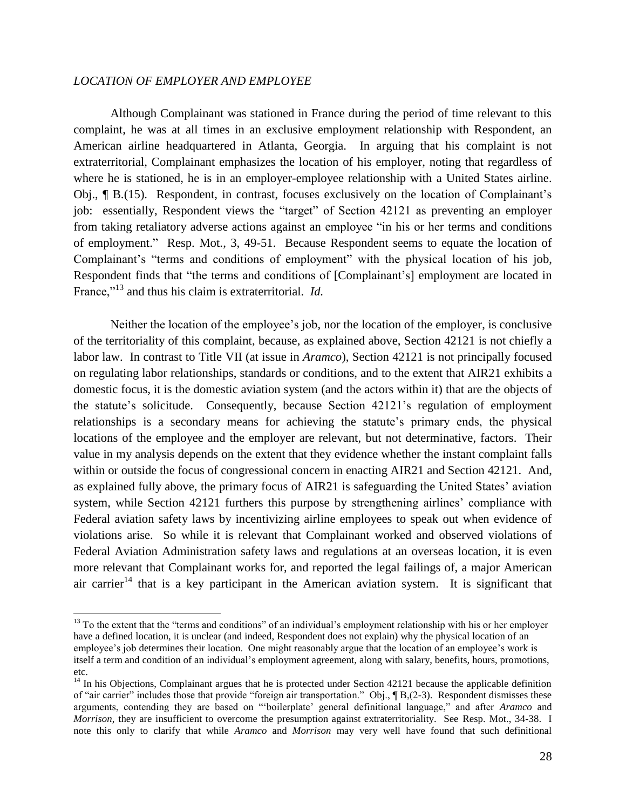# *LOCATION OF EMPLOYER AND EMPLOYEE*

 $\overline{a}$ 

Although Complainant was stationed in France during the period of time relevant to this complaint, he was at all times in an exclusive employment relationship with Respondent, an American airline headquartered in Atlanta, Georgia. In arguing that his complaint is not extraterritorial, Complainant emphasizes the location of his employer, noting that regardless of where he is stationed, he is in an employer-employee relationship with a United States airline. Obj., ¶ B.(15). Respondent, in contrast, focuses exclusively on the location of Complainant's job: essentially, Respondent views the "target" of Section 42121 as preventing an employer from taking retaliatory adverse actions against an employee "in his or her terms and conditions of employment." Resp. Mot., 3, 49-51. Because Respondent seems to equate the location of Complainant's "terms and conditions of employment" with the physical location of his job, Respondent finds that "the terms and conditions of [Complainant's] employment are located in France,"<sup>13</sup> and thus his claim is extraterritorial. *Id.* 

Neither the location of the employee's job, nor the location of the employer, is conclusive of the territoriality of this complaint, because, as explained above, Section 42121 is not chiefly a labor law. In contrast to Title VII (at issue in *Aramco*), Section 42121 is not principally focused on regulating labor relationships, standards or conditions, and to the extent that AIR21 exhibits a domestic focus, it is the domestic aviation system (and the actors within it) that are the objects of the statute's solicitude. Consequently, because Section 42121's regulation of employment relationships is a secondary means for achieving the statute's primary ends, the physical locations of the employee and the employer are relevant, but not determinative, factors. Their value in my analysis depends on the extent that they evidence whether the instant complaint falls within or outside the focus of congressional concern in enacting AIR21 and Section 42121. And, as explained fully above, the primary focus of AIR21 is safeguarding the United States' aviation system, while Section 42121 furthers this purpose by strengthening airlines' compliance with Federal aviation safety laws by incentivizing airline employees to speak out when evidence of violations arise. So while it is relevant that Complainant worked and observed violations of Federal Aviation Administration safety laws and regulations at an overseas location, it is even more relevant that Complainant works for, and reported the legal failings of, a major American air carrier<sup>14</sup> that is a key participant in the American aviation system. It is significant that

<sup>&</sup>lt;sup>13</sup> To the extent that the "terms and conditions" of an individual's employment relationship with his or her employer have a defined location, it is unclear (and indeed, Respondent does not explain) why the physical location of an employee's job determines their location. One might reasonably argue that the location of an employee's work is itself a term and condition of an individual's employment agreement, along with salary, benefits, hours, promotions, etc.

 $14$  In his Objections, Complainant argues that he is protected under Section 42121 because the applicable definition of "air carrier" includes those that provide "foreign air transportation." Obj., ¶ B,(2-3). Respondent dismisses these arguments, contending they are based on "'boilerplate' general definitional language," and after *Aramco* and *Morrison*, they are insufficient to overcome the presumption against extraterritoriality. See Resp. Mot., 34-38. I note this only to clarify that while *Aramco* and *Morrison* may very well have found that such definitional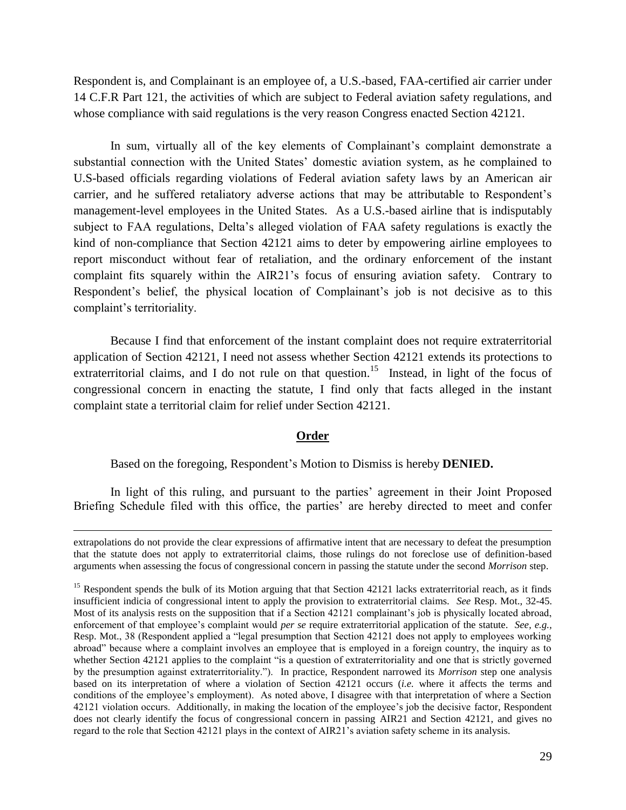Respondent is, and Complainant is an employee of, a U.S.-based, FAA-certified air carrier under 14 C.F.R Part 121, the activities of which are subject to Federal aviation safety regulations, and whose compliance with said regulations is the very reason Congress enacted Section 42121.

In sum, virtually all of the key elements of Complainant's complaint demonstrate a substantial connection with the United States' domestic aviation system, as he complained to U.S-based officials regarding violations of Federal aviation safety laws by an American air carrier, and he suffered retaliatory adverse actions that may be attributable to Respondent's management-level employees in the United States. As a U.S.-based airline that is indisputably subject to FAA regulations, Delta's alleged violation of FAA safety regulations is exactly the kind of non-compliance that Section 42121 aims to deter by empowering airline employees to report misconduct without fear of retaliation, and the ordinary enforcement of the instant complaint fits squarely within the AIR21's focus of ensuring aviation safety. Contrary to Respondent's belief, the physical location of Complainant's job is not decisive as to this complaint's territoriality.

Because I find that enforcement of the instant complaint does not require extraterritorial application of Section 42121, I need not assess whether Section 42121 extends its protections to extraterritorial claims, and I do not rule on that question.<sup>15</sup> Instead, in light of the focus of congressional concern in enacting the statute, I find only that facts alleged in the instant complaint state a territorial claim for relief under Section 42121.

### **Order**

Based on the foregoing, Respondent's Motion to Dismiss is hereby **DENIED.**

 $\overline{a}$ 

In light of this ruling, and pursuant to the parties' agreement in their Joint Proposed Briefing Schedule filed with this office, the parties' are hereby directed to meet and confer

extrapolations do not provide the clear expressions of affirmative intent that are necessary to defeat the presumption that the statute does not apply to extraterritorial claims, those rulings do not foreclose use of definition-based arguments when assessing the focus of congressional concern in passing the statute under the second *Morrison* step.

<sup>&</sup>lt;sup>15</sup> Respondent spends the bulk of its Motion arguing that that Section 42121 lacks extraterritorial reach, as it finds insufficient indicia of congressional intent to apply the provision to extraterritorial claims. *See* Resp. Mot., 32-45. Most of its analysis rests on the supposition that if a Section 42121 complainant's job is physically located abroad, enforcement of that employee's complaint would *per se* require extraterritorial application of the statute. *See, e.g.,*  Resp. Mot., 38 (Respondent applied a "legal presumption that Section 42121 does not apply to employees working abroad" because where a complaint involves an employee that is employed in a foreign country, the inquiry as to whether Section 42121 applies to the complaint "is a question of extraterritoriality and one that is strictly governed by the presumption against extraterritoriality."). In practice, Respondent narrowed its *Morrison* step one analysis based on its interpretation of where a violation of Section 42121 occurs (*i.e.* where it affects the terms and conditions of the employee's employment). As noted above, I disagree with that interpretation of where a Section 42121 violation occurs. Additionally, in making the location of the employee's job the decisive factor, Respondent does not clearly identify the focus of congressional concern in passing AIR21 and Section 42121, and gives no regard to the role that Section 42121 plays in the context of AIR21's aviation safety scheme in its analysis.